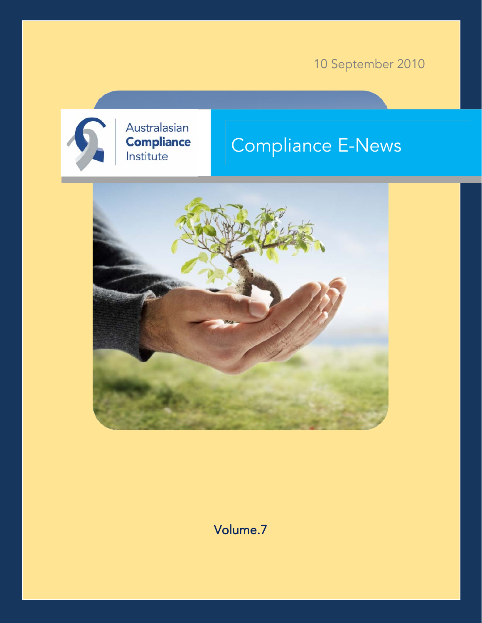10 September 2010



Australasian **Compliance** Institute

# Compliance E-News



Volume.7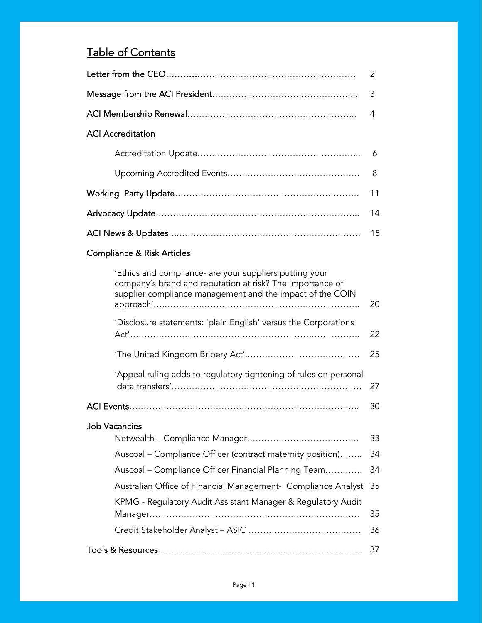# Table of Contents

|                          | 2  |  |
|--------------------------|----|--|
|                          |    |  |
|                          |    |  |
| <b>ACI</b> Accreditation |    |  |
|                          |    |  |
|                          |    |  |
|                          |    |  |
|                          | 14 |  |
|                          |    |  |

# Compliance & Risk Articles

| 'Ethics and compliance- are your suppliers putting your<br>company's brand and reputation at risk? The importance of<br>supplier compliance management and the impact of the COIN | 20 |  |  |  |
|-----------------------------------------------------------------------------------------------------------------------------------------------------------------------------------|----|--|--|--|
| 'Disclosure statements: 'plain English' versus the Corporations                                                                                                                   | 22 |  |  |  |
|                                                                                                                                                                                   | 25 |  |  |  |
| 'Appeal ruling adds to regulatory tightening of rules on personal                                                                                                                 | 27 |  |  |  |
|                                                                                                                                                                                   | 30 |  |  |  |
| <b>Job Vacancies</b>                                                                                                                                                              |    |  |  |  |
|                                                                                                                                                                                   | 33 |  |  |  |
| Auscoal - Compliance Officer (contract maternity position)                                                                                                                        | 34 |  |  |  |
| Auscoal – Compliance Officer Financial Planning Team                                                                                                                              | 34 |  |  |  |
| Australian Office of Financial Management- Compliance Analyst                                                                                                                     | 35 |  |  |  |
| KPMG - Regulatory Audit Assistant Manager & Regulatory Audit                                                                                                                      |    |  |  |  |
|                                                                                                                                                                                   | 35 |  |  |  |
|                                                                                                                                                                                   | 36 |  |  |  |
|                                                                                                                                                                                   | 37 |  |  |  |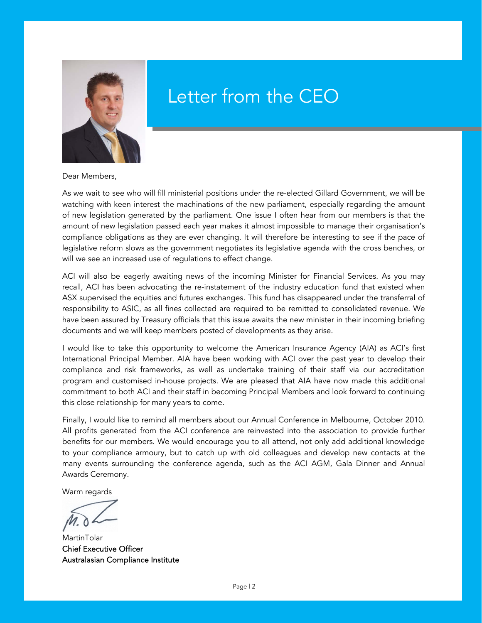<span id="page-2-0"></span>

# Letter from the CEO

Dear Members,

As we wait to see who will fill ministerial positions under the re-elected Gillard Government, we will be watching with keen interest the machinations of the new parliament, especially regarding the amount of new legislation generated by the parliament. One issue I often hear from our members is that the amount of new legislation passed each year makes it almost impossible to manage their organisation's compliance obligations as they are ever changing. It will therefore be interesting to see if the pace of legislative reform slows as the government negotiates its legislative agenda with the cross benches, or will we see an increased use of regulations to effect change.

ACI will also be eagerly awaiting news of the incoming Minister for Financial Services. As you may recall, ACI has been advocating the re-instatement of the industry education fund that existed when ASX supervised the equities and futures exchanges. This fund has disappeared under the transferral of responsibility to ASIC, as all fines collected are required to be remitted to consolidated revenue. We have been assured by Treasury officials that this issue awaits the new minister in their incoming briefing documents and we will keep members posted of developments as they arise.

I would like to take this opportunity to welcome the American Insurance Agency (AIA) as ACI's first International Principal Member. AIA have been working with ACI over the past year to develop their compliance and risk frameworks, as well as undertake training of their staff via our accreditation program and customised in-house projects. We are pleased that AIA have now made this additional commitment to both ACI and their staff in becoming Principal Members and look forward to continuing this close relationship for many years to come.

Finally, I would like to remind all members about our Annual Conference in Melbourne, October 2010. All profits generated from the ACI conference are reinvested into the association to provide further benefits for our members. We would encourage you to all attend, not only add additional knowledge to your compliance armoury, but to catch up with old colleagues and develop new contacts at the many events surrounding the conference agenda, such as the ACI AGM, Gala Dinner and Annual Awards Ceremony.

Warm regards

**MartinTolar** Chief Executive Officer Australasian Compliance Institute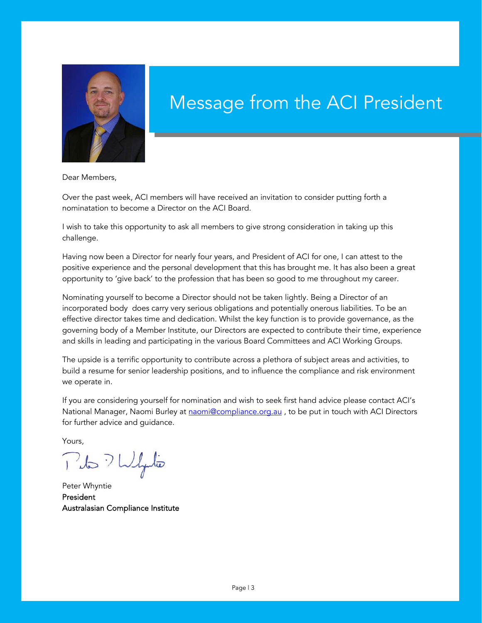<span id="page-3-0"></span>

# Message from the ACI President

Dear Members,

Over the past week, ACI members will have received an invitation to consider putting forth a nominatation to become a Director on the ACI Board.

I wish to take this opportunity to ask all members to give strong consideration in taking up this challenge.

Having now been a Director for nearly four years, and President of ACI for one, I can attest to the positive experience and the personal development that this has brought me. It has also been a great opportunity to 'give back' to the profession that has been so good to me throughout my career.

Nominating yourself to become a Director should not be taken lightly. Being a Director of an incorporated body does carry very serious obligations and potentially onerous liabilities. To be an effective director takes time and dedication. Whilst the key function is to provide governance, as the governing body of a Member Institute, our Directors are expected to contribute their time, experience and skills in leading and participating in the various Board Committees and ACI Working Groups.

The upside is a terrific opportunity to contribute across a plethora of subject areas and activities, to build a resume for senior leadership positions, and to influence the compliance and risk environment we operate in.

If you are considering yourself for nomination and wish to seek first hand advice please contact ACI's National Manager, Naomi Burley at naomi@compliance.org.au, to be put in touch with ACI Directors for further advice and guidance.

Yours,

Puls ? Wylio

Peter Whyntie President Australasian Compliance Institute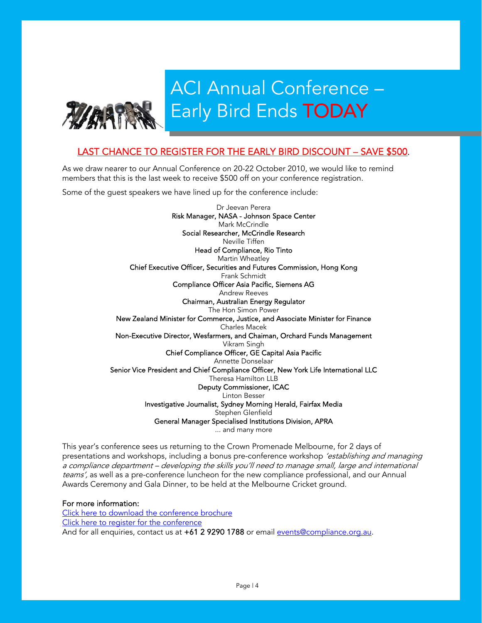<span id="page-4-0"></span>

# ACI Annual Conference – Early Bird Ends TODAY

# LAST CHANCE TO REGISTER FOR THE EARLY BIRD DISCOUNT – SAVE \$500.

As we draw nearer to our Annual Conference on 20-22 October 2010, we would like to remind members that this is the last week to receive \$500 off on your conference registration.

Some of the guest speakers we have lined up for the conference include:

Dr Jeevan Perera Risk Manager, NASA - Johnson Space Center Mark McCrindle Social Researcher, McCrindle Research Neville Tiffen Head of Compliance, Rio Tinto Martin Wheatley Chief Executive Officer, Securities and Futures Commission, Hong Kong Frank Schmidt Compliance Officer Asia Pacific, Siemens AG Andrew Reeves Chairman, Australian Energy Regulator The Hon Simon Power New Zealand Minister for Commerce, Justice, and Associate Minister for Finance Charles Macek Non-Executive Director, Wesfarmers, and Chaiman, Orchard Funds Management Vikram Singh Chief Compliance Officer, GE Capital Asia Pacific Annette Donselaar Senior Vice President and Chief Compliance Officer, New York Life International LLC Theresa Hamilton LLB Deputy Commissioner, ICAC Linton Besser Investigative Journalist, Sydney Morning Herald, Fairfax Media Stephen Glenfield General Manager Specialised Institutions Division, APRA ... and many more

This year's conference sees us returning to the Crown Promenade Melbourne, for 2 days of presentations and workshops, including a bonus pre-conference workshop *'establishing and managing* a compliance department – developing the skills you'll need to manage small, large and international teams', as well as a pre-conference luncheon for the new compliance professional, and our Annual Awards Ceremony and Gala Dinner, to be held at the Melbourne Cricket ground.

## For more information:

[Click here to download the conference brochure](http://www.compliance.org.au/www_aci/user/docs/ACI%2014th%20ANNUAL%20CONFERENCE%20BROCHURE%202010%20(LOW%20RES).pdf) [Click here to register for the conference](http://www.compliance.org.au/www_aci/events.asp?menuid=3&eventid=308&date=23/02/2010&stateid=) And for all enquiries, contact us at +61 2 9290 1788 or email events@compliance.org.au.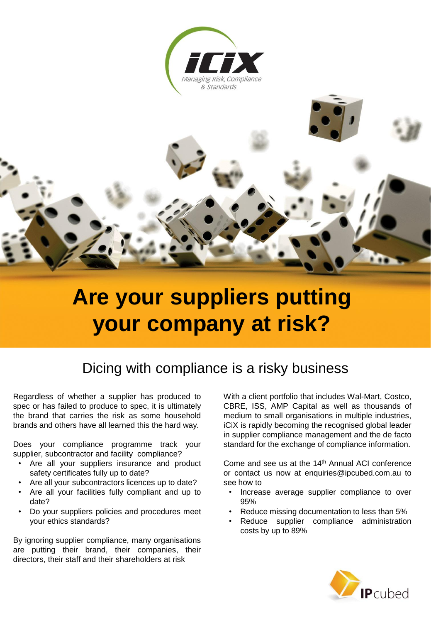



# **[Are your suppliers putting](http://www.icix.com/)  your company at risk?**

# Dicing with compliance is a risky business

Regardless of whether a supplier has produced to spec or has failed to produce to spec, it is ultimately the brand that carries the risk as some household brands and others have all learned this the hard way.

Does your compliance programme track your supplier, subcontractor and facility compliance?

- Are all your suppliers insurance and product safety certificates fully up to date?
- Are all your subcontractors licences up to date?
- Are all your facilities fully compliant and up to date?
- Do your suppliers policies and procedures meet your ethics standards?

By ignoring supplier compliance, many organisations are putting their brand, their companies, their directors, their staff and their shareholders at risk

With a client portfolio that includes Wal-Mart, Costco, CBRE, ISS, AMP Capital as well as thousands of medium to small organisations in multiple industries, iCiX is rapidly becoming the recognised global leader in supplier compliance management and the de facto standard for the exchange of compliance information.

Come and see us at the 14<sup>th</sup> Annual ACI conference or contact us now at enquiries@ipcubed.com.au to see how to

- Increase average supplier compliance to over 95%
- Reduce missing documentation to less than 5%
- Reduce supplier compliance administration costs by up to 89%

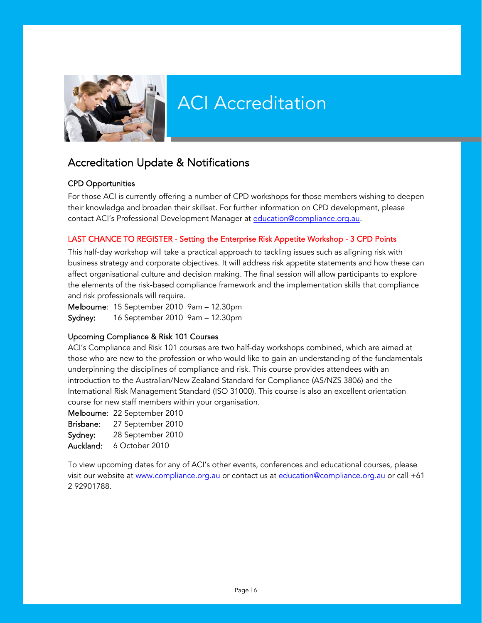<span id="page-6-0"></span>

# ACI Accreditation

# Accreditation Update & Notifications

# CPD Opportunities

 their knowledge and broaden their skillset. For further information on CPD development, please For those ACI is currently offering a number of CPD workshops for those members wishing to deepen contact ACI's Professional Development Manager at education@compliance.org.au.

# LAST CHANCE TO REGISTER - Setting the Enterprise Risk Appetite Workshop - 3 CPD Points

 This half-day workshop will take a practical approach to tackling issues such as aligning risk with business strategy and corporate objectives. It will address risk appetite statements and how these can affect organisational culture and decision making. The final session will allow participants to explore the elements of the risk-based compliance framework and the implementation skills that compliance and risk professionals will require.

Melbourne: 15 September 2010 9am – 12.30pm Sydney: 16 September 2010 9am – 12.30pm

# Upcoming Compliance & Risk 101 Courses

ACI's Compliance and Risk 101 courses are two half-day workshops combined, which are aimed at those who are new to the profession or who would like to gain an understanding of the fundamentals underpinning the disciplines of compliance and risk. This course provides attendees with an introduction to the Australian/New Zealand Standard for Compliance (AS/NZS 3806) and the International Risk Management Standard (ISO 31000). This course is also an excellent orientation course for new staff members within your organisation.

Melbourne: 22 September 2010 Brisbane: 27 September 2010 Sydney: 28 September 2010 Auckland: 6 October 2010

To view upcoming dates for any of ACI's other events, conferences and educational courses, please visit our website at [www.compliance.org.au o](http://www.compliance.org.au/www_aci/)r contact us at education@compliance.org.au or call +61 2 92901788.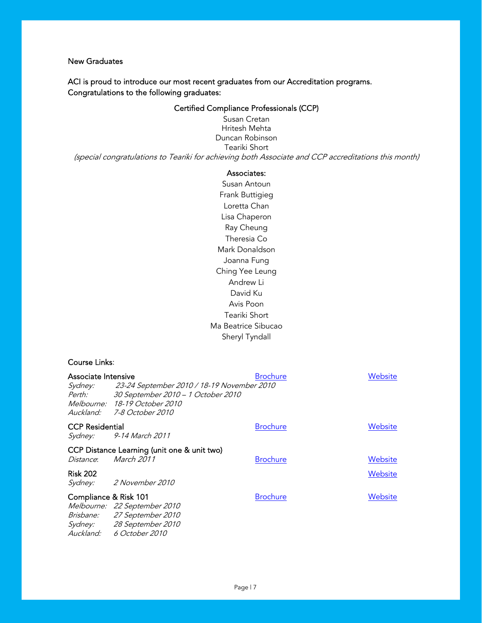# New Graduates

ACI is proud to introduce our most recent graduates from our Accreditation programs. Congratulations to the following graduates:

# Certified Compliance Professionals (CCP)

Susan Cretan Hritesh Mehta Duncan Robinson Teariki Short (special congratulations to Teariki for achieving both Associate and CCP accreditations this month)

## Associates:

Susan Antoun Frank Buttigieg Loretta Chan Lisa Chaperon Ray Cheung Theresia Co Mark Donaldson Joanna Fung Ching Yee Leung Andrew Li David Ku Avis Poon Teariki Short Ma Beatrice Sibucao Sheryl Tyndall

## Course Links:

| Associate Intensive        |                                                                                                                                                 | <b>Brochure</b> | Website |
|----------------------------|-------------------------------------------------------------------------------------------------------------------------------------------------|-----------------|---------|
| <i>Sydney:</i><br>Perth:   | 23-24 September 2010 / 18-19 November 2010<br>30 September 2010 - 1 October 2010<br>Melbourne: 18-19 October 2010<br>Auckland: 7-8 October 2010 |                 |         |
| <b>CCP Residential</b>     | Sydney: 9-14 March 2011                                                                                                                         | <b>Brochure</b> | Website |
| <i>Distance</i> :          | CCP Distance Learning (unit one & unit two)<br>March 2011                                                                                       | <b>Brochure</b> | Website |
| <b>Risk 202</b><br>Sydney: | <i>2 November 2010</i>                                                                                                                          |                 | Website |
| Compliance & Risk 101      | Melbourne: 22 September 2010<br>Brisbane: 27 September 2010<br>Sydney: 28 September 2010<br>Auckland: 6 October 2010                            | <b>Brochure</b> | Website |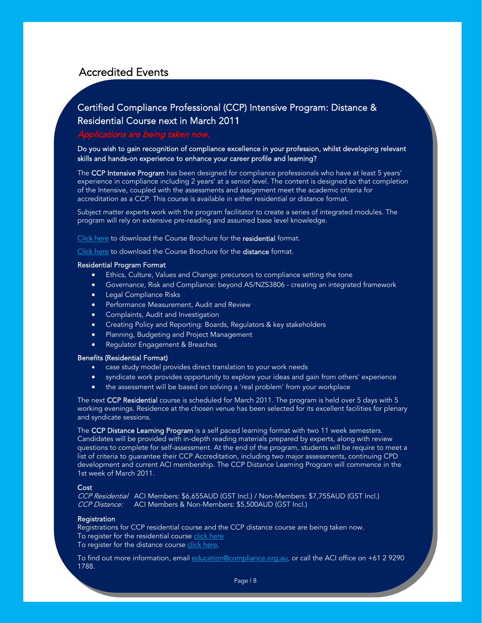# <span id="page-8-0"></span>Accredited Events

# Certified Compliance Professional (CCP) Intensive Program: Distance & Residential Course next in March 2011

# Applications are being taken now.

Do you wish to gain recognition of compliance excellence in your profession, whilst developing relevant skills and hands-on experience to enhance your career profile and learning?

The CCP Intensive Program has been designed for compliance professionals who have at least 5 years' experience in compliance including 2 years' at a senior level. The content is designed so that completion of the Intensive, coupled with the assessments and assignment meet the academic criteria for accreditation as a CCP. This course is available in either residential or distance format.

Subject matter experts work with the program facilitator to create a series of integrated modules. The program will rely on extensive pre-reading and assumed base level knowledge.

[Click here](http://www.compliance.org.au/www_aci/user/docs/CCP%20Res%20Bro_mar.pdf) to download the Course Brochure for the residential format.

[Click here t](http://www.compliance.org.au/www_aci/user/docs/ACI%20CCP%20DISTANCE%20BROCHURE.pdf)o download the Course Brochure for the distance format.

#### Residential Program Format

- Ethics, Culture, Values and Change: precursors to compliance setting the tone
- Governance, Risk and Compliance: beyond AS/NZS3806 creating an integrated framework
- Legal Compliance Risks
- Performance Measurement, Audit and Review
- Complaints, Audit and Investigation
- Creating Policy and Reporting: Boards, Regulators & key stakeholders
- Planning, Budgeting and Project Management
- Regulator Engagement & Breaches

### Benefits (Residential Format)

- case study model provides direct translation to your work needs
- syndicate work provides opportunity to explore your ideas and gain from others' experience
- the assessment will be based on solving a 'real problem' from your workplace

The next CCP Residential course is scheduled for March 2011. The program is held over 5 days with 5 working evenings. Residence at the chosen venue has been selected for its excellent facilities for plenary and syndicate sessions.

The CCP Distance Learning Program is a self paced learning format with two 11 week semesters. Candidates will be provided with in-depth reading materials prepared by experts, along with review questions to complete for self-assessment. At the end of the program, students will be require to meet a list of criteria to guarantee their CCP Accreditation, including two major assessments, continuing CPD development and current ACI membership. The CCP Distance Learning Program will commence in the 1st week of March 2011.

#### **Cost**

CCP Residential ACI Members: \$6,655AUD (GST Incl.) / Non-Members: \$7,755AUD (GST Incl.) CCP Distance: ACI Members & Non-Members: \$5,500AUD (GST Incl.)

#### **Registration**

Registrations for CCP residential course and the CCP distance course are being taken now. To register for the residential course [click here](http://www.compliance.org.au/www_aci/events.asp?menuid=3&eventid=146&date=10/09/2010&stateid=) To register for the distance course click here.

To find out more information, email education@compliance.org.au, or call the ACI office on +61 2 9290 1788.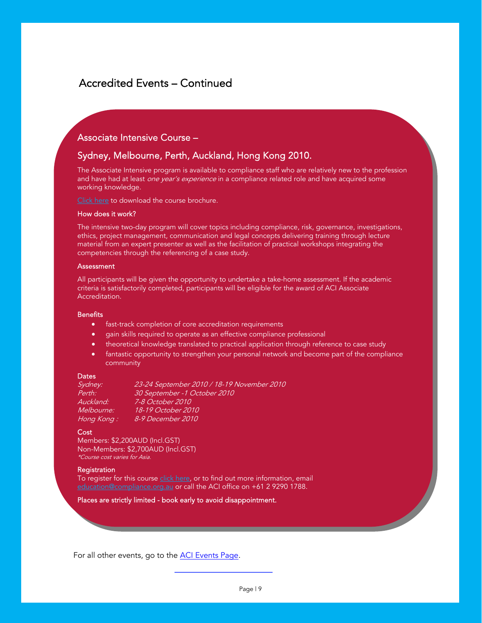# Accredited Events – Continued

# Associate Intensive Course –

# Sydney, Melbourne, Perth, Auckland, Hong Kong 2010.

The Associate Intensive program is available to compliance staff who are relatively new to the profession and have had at least *one year's experience* in a compliance related role and have acquired some working knowledge.

[Click here](http://www.compliance.org.au/www_aci/user/docs/Associate%20Bro_Jul%2009.pdf) to download the course brochure.

#### How does it work?

The intensive two-day program will cover topics including compliance, risk, governance, investigations, ethics, project management, communication and legal concepts delivering training through lecture material from an expert presenter as well as the facilitation of practical workshops integrating the competencies through the referencing of a case study.

#### **Assessment**

All participants will be given the opportunity to undertake a take-home assessment. If the academic criteria is satisfactorily completed, participants will be eligible for the award of ACI Associate Accreditation.

#### **Benefits**

- fast-track completion of core accreditation requirements
- gain skills required to operate as an effective compliance professional
- theoretical knowledge translated to practical application through reference to case study
- fantastic opportunity to strengthen your personal network and become part of the compliance community

#### **Dates**

| Sydney:    | 23-24 September 2010 / 18-19 November 2010 |
|------------|--------------------------------------------|
| Perth:     | 30 September -1 October 2010               |
| Auckland:  | 7-8 October 2010                           |
| Melbourne: | 18-19 October 2010                         |
| Hong Kong: | 8-9 December 2010                          |
|            |                                            |

#### **Cost**

Members: \$2,200AUD (Incl.GST) Non-Members: \$2,700AUD (Incl.GST) \*Course cost varies for Asia.

#### **Registration**

To register for this course [click here](http://www.compliance.org.au/www_aci/events.asp?menuid=3&eventid=184&date=10/09/2010&stateid=), or to find out more information, email education@compliance.org.au or call the ACI office on +61 2 9290 1788.

Places are strictly limited - book early to avoid disappointment.

For all other events, go to the **ACI Events Page**.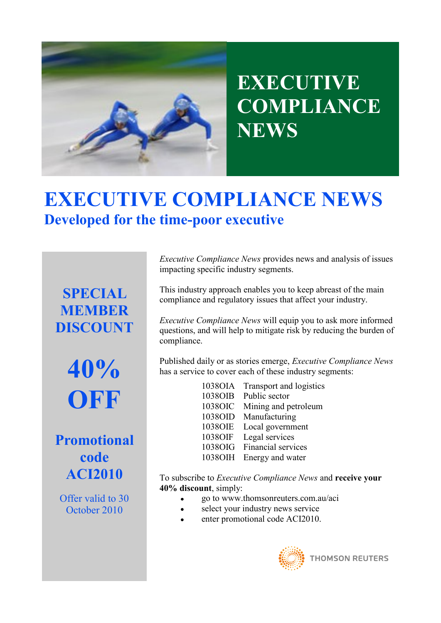

# **EXECUTIVE COMPLIANCE NEWS**

# **[EXECUTIVE COMPLIANCE NEWS](http://www.thomsonreuters.com.au/catalogue/ProductList.asp?id=1360&utm_source=url_aci&utm_medium=customurl&utm_campaign=aci) Developed for the time-poor executive**

**SPECIAL MEMBER DISCOUNT**

> **40% OFF**

**Promotional code ACI2010**

Offer valid to 30 October 2010

*Executive Compliance News* provides news and analysis of issues impacting specific industry segments.

This industry approach enables you to keep abreast of the main compliance and regulatory issues that affect your industry.

*Executive Compliance News* will equip you to ask more informed questions, and will help to mitigate risk by reducing the burden of compliance.

Published daily or as stories emerge, *Executive Compliance News*  has a service to cover each of these industry segments:

> 1038OIA Transport and logistics 1038OIB Public sector 1038OIC Mining and petroleum 1038OID Manufacturing 1038OIE Local government 1038OIF Legal services 1038OIG Financial services 1038OIH Energy and water

To subscribe to *Executive Compliance News* and **receive your 40% discount**, simply:

- go to www.thomsonreuters.com.au/aci
- select your industry news service
- enter promotional code ACI2010.

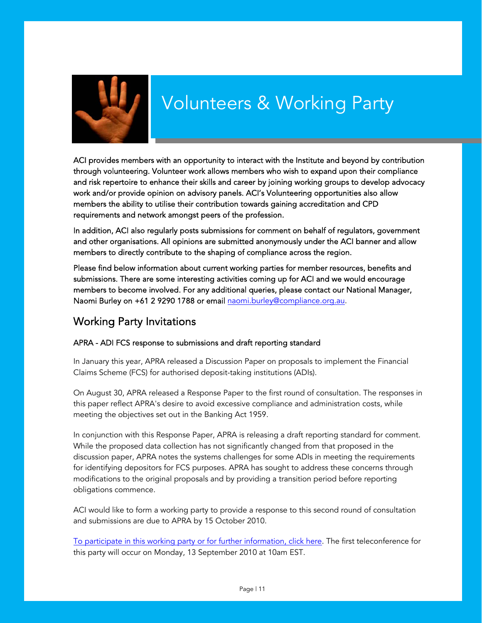<span id="page-11-0"></span>

# Volunteers & Working Party

ACI provides members with an opportunity to interact with the Institute and beyond by contribution through volunteering. Volunteer work allows members who wish to expand upon their compliance and risk repertoire to enhance their skills and career by joining working groups to develop advocacy work and/or provide opinion on advisory panels. ACI's Volunteering opportunities also allow members the ability to utilise their contribution towards gaining accreditation and CPD requirements and network amongst peers of the profession.

In addition, ACI also regularly posts submissions for comment on behalf of regulators, government and other organisations. All opinions are submitted anonymously under the ACI banner and allow members to directly contribute to the shaping of compliance across the region.

Please find below information about current working parties for member resources, benefits and submissions. There are some interesting activities coming up for ACI and we would encourage members to become involved. For any additional queries, please contact our National Manager, Naomi Burley on +61 2 9290 1788 or email naomi.burley@compliance.org.au.

# Working Party Invitations

# APRA - ADI FCS response to submissions and draft reporting standard

In January this year, APRA released a Discussion Paper on proposals to implement the Financial Claims Scheme (FCS) for authorised deposit-taking institutions (ADIs).

On August 30, APRA released a Response Paper to the first round of consultation. The responses in this paper reflect APRA's desire to avoid excessive compliance and administration costs, while meeting the objectives set out in the Banking Act 1959.

In conjunction with this Response Paper, APRA is releasing a draft reporting standard for comment. While the proposed data collection has not significantly changed from that proposed in the discussion paper, APRA notes the systems challenges for some ADIs in meeting the requirements for identifying depositors for FCS purposes. APRA has sought to address these concerns through modifications to the original proposals and by providing a transition period before reporting obligations commence.

ACI would like to form a working party to provide a response to this second round of consultation and submissions are due to APRA by 15 October 2010.

[To participate in this working party or for further information, click here. T](http://www.compliance.org.au/www_aci/volunteeractivities.asp?menuid=240&volunteerid=74&date=10/09/2010&stateid=)he first teleconference for this party will occur on Monday, 13 September 2010 at 10am EST.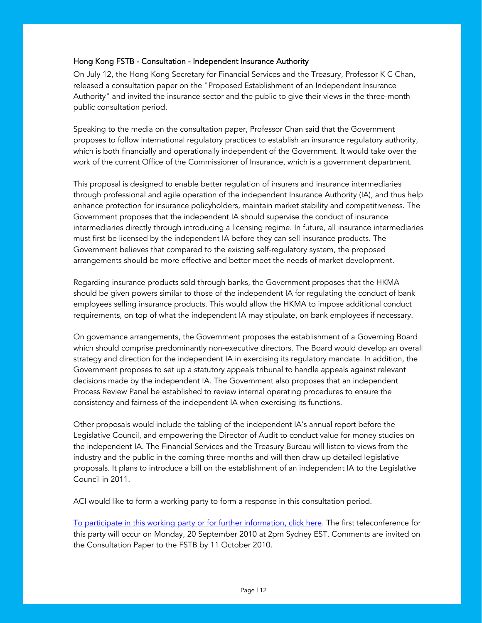# Hong Kong FSTB - Consultation - Independent Insurance Authority

On July 12, the Hong Kong Secretary for Financial Services and the Treasury, Professor K C Chan, released a consultation paper on the "Proposed Establishment of an Independent Insurance Authority" and invited the insurance sector and the public to give their views in the three-month public consultation period.

Speaking to the media on the consultation paper, Professor Chan said that the Government proposes to follow international regulatory practices to establish an insurance regulatory authority, which is both financially and operationally independent of the Government. It would take over the work of the current Office of the Commissioner of Insurance, which is a government department.

This proposal is designed to enable better regulation of insurers and insurance intermediaries through professional and agile operation of the independent Insurance Authority (IA), and thus help enhance protection for insurance policyholders, maintain market stability and competitiveness. The Government proposes that the independent IA should supervise the conduct of insurance intermediaries directly through introducing a licensing regime. In future, all insurance intermediaries must first be licensed by the independent IA before they can sell insurance products. The Government believes that compared to the existing self-regulatory system, the proposed arrangements should be more effective and better meet the needs of market development.

Regarding insurance products sold through banks, the Government proposes that the HKMA should be given powers similar to those of the independent IA for regulating the conduct of bank employees selling insurance products. This would allow the HKMA to impose additional conduct requirements, on top of what the independent IA may stipulate, on bank employees if necessary.

On governance arrangements, the Government proposes the establishment of a Governing Board which should comprise predominantly non-executive directors. The Board would develop an overall strategy and direction for the independent IA in exercising its regulatory mandate. In addition, the Government proposes to set up a statutory appeals tribunal to handle appeals against relevant decisions made by the independent IA. The Government also proposes that an independent Process Review Panel be established to review internal operating procedures to ensure the consistency and fairness of the independent IA when exercising its functions.

Other proposals would include the tabling of the independent IA's annual report before the Legislative Council, and empowering the Director of Audit to conduct value for money studies on the independent IA. The Financial Services and the Treasury Bureau will listen to views from the industry and the public in the coming three months and will then draw up detailed legislative proposals. It plans to introduce a bill on the establishment of an independent IA to the Legislative Council in 2011.

ACI would like to form a working party to form a response in this consultation period.

[To participate in this working party or for further information, click here. The firs](http://www.compliance.org.au/www_aci/volunteeractivities.asp?menuid=240&volunteerid=77&date=10/09/2010&stateid=)t teleconference for this party will occur on Monday, 20 September 2010 at 2pm Sydney EST. Comments are invited on the Consultation Paper to the FSTB by 11 October 2010.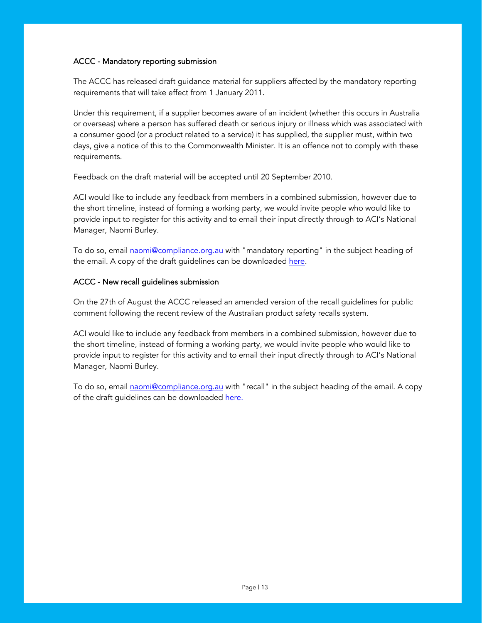# ACCC - Mandatory reporting submission

The ACCC has released draft guidance material for suppliers affected by the mandatory reporting requirements that will take effect from 1 January 2011.

Under this requirement, if a supplier becomes aware of an incident (whether this occurs in Australia or overseas) where a person has suffered death or serious injury or illness which was associated with a consumer good (or a product related to a service) it has supplied, the supplier must, within two days, give a notice of this to the Commonwealth Minister. It is an offence not to comply with these requirements.

Feedback on the draft material will be accepted until 20 September 2010.

ACI would like to include any feedback from members in a combined submission, however due to the short timeline, instead of forming a working party, we would invite people who would like to provide input to register for this activity and to email their input directly through to ACI's National Manager, Naomi Burley.

To do so, email **naomi@compliance.org.au** with "mandatory reporting" in the subject heading of the email. A copy of the draft guidelines can be downloaded here.

# ACCC - New recall guidelines submission

On the 27th of August the ACCC released an amended version of the recall guidelines for public comment following the recent review of the Australian product safety recalls system.

ACI would like to include any feedback from members in a combined submission, however due to the short timeline, instead of forming a working party, we would invite people who would like to provide input to register for this activity and to email their input directly through to ACI's National Manager, Naomi Burley.

To do so, email **naomi@compliance.org.au** with "recall" in the subject heading of the email. A copy of the draft guidelines can be downloade[d here.](http://www.productsafety.gov.au/content/index.phtml/itemId/982161)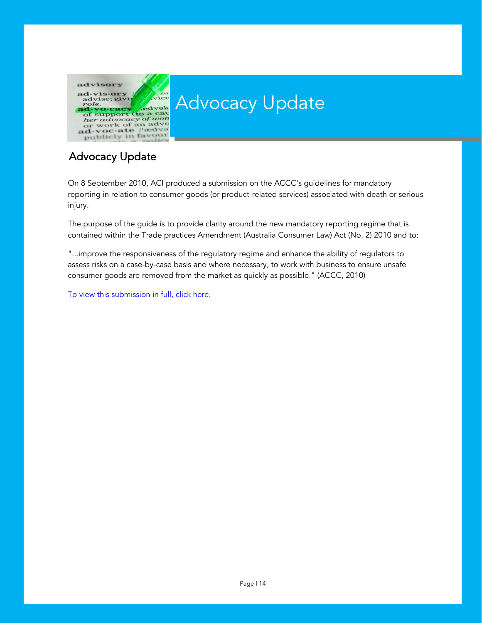<span id="page-14-0"></span>

# Advocacy Update

# Advocacy Update

On 8 September 2010, ACI produced a submission on the ACCC's guidelines for mandatory reporting in relation to consumer goods (or product-related services) associated with death or serious injury.

The purpose of the guide is to provide clarity around the new mandatory reporting regime that is contained within the Trade practices Amendment (Australia Consumer Law) Act (No. 2) 2010 and to:

"...improve the responsiveness of the regulatory regime and enhance the ability of regulators to assess risks on a case-by-case basis and where necessary, to work with business to ensure unsafe consumer goods are removed from the market as quickly as possible." (ACCC, 2010)

[To view this submission in full, click here.](http://www.compliance.org.au/www_aci/user/docs/ACI%20manditory%20reporting%20submission.pdf)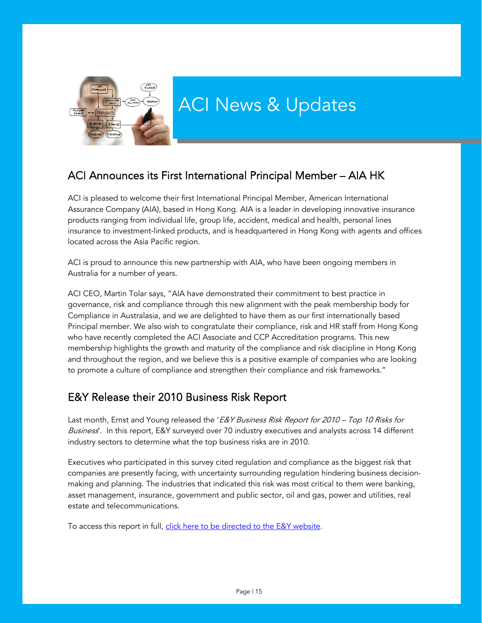<span id="page-15-0"></span>

# ACI Announces its First International Principal Member – AIA HK

ACI is pleased to welcome their first International Principal Member, American International Assurance Company (AIA), based in Hong Kong. AIA is a leader in developing innovative insurance products ranging from individual life, group life, accident, medical and health, personal lines insurance to investment-linked products, and is headquartered in Hong Kong with agents and offices located across the Asia Pacific region.

ACI is proud to announce this new partnership with AIA, who have been ongoing members in Australia for a number of years.

ACI CEO, Martin Tolar says, "AIA have demonstrated their commitment to best practice in governance, risk and compliance through this new alignment with the peak membership body for Compliance in Australasia, and we are delighted to have them as our first internationally based Principal member. We also wish to congratulate their compliance, risk and HR staff from Hong Kong who have recently completed the ACI Associate and CCP Accreditation programs. This new membership highlights the growth and maturity of the compliance and risk discipline in Hong Kong and throughout the region, and we believe this is a positive example of companies who are looking to promote a culture of compliance and strengthen their compliance and risk frameworks."

# E&Y Release their 2010 Business Risk Report

Last month, Ernst and Young released the 'E&Y Business Risk Report for 2010 - Top 10 Risks for Business'. In this report, E&Y surveyed over 70 industry executives and analysts across 14 different industry sectors to determine what the top business risks are in 2010.

Executives who participated in this survey cited regulation and compliance as the biggest risk that companies are presently facing, with uncertainty surrounding regulation hindering business decisionmaking and planning. The industries that indicated this risk was most critical to them were banking, asset management, insurance, government and public sector, oil and gas, power and utilities, real estate and telecommunications.

To access this report in full, click here to be directed to the E&Y website.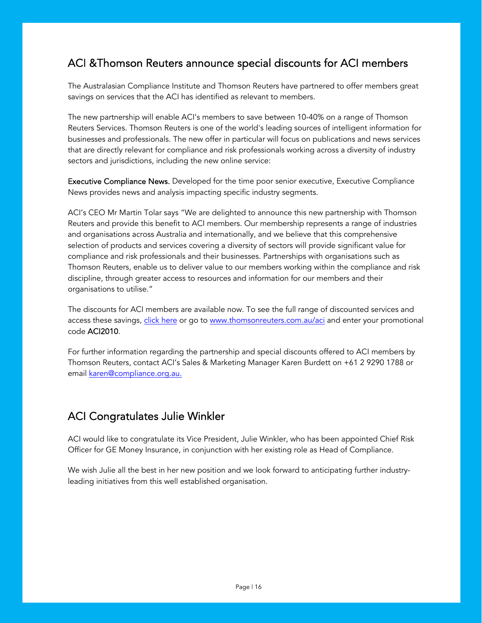# ACI &Thomson Reuters announce special discounts for ACI members

The Australasian Compliance Institute and Thomson Reuters have partnered to offer members great savings on services that the ACI has identified as relevant to members.

The new partnership will enable ACI's members to save between 10-40% on a range of Thomson Reuters Services. Thomson Reuters is one of the world's leading sources of intelligent information for businesses and professionals. The new offer in particular will focus on publications and news services that are directly relevant for compliance and risk professionals working across a diversity of industry sectors and jurisdictions, including the new online service:

Executive Compliance News. Developed for the time poor senior executive, Executive Compliance News provides news and analysis impacting specific industry segments.

ACI's CEO Mr Martin Tolar says "We are delighted to announce this new partnership with Thomson Reuters and provide this benefit to ACI members. Our membership represents a range of industries and organisations across Australia and internationally, and we believe that this comprehensive selection of products and services covering a diversity of sectors will provide significant value for compliance and risk professionals and their businesses. Partnerships with organisations such as Thomson Reuters, enable us to deliver value to our members working within the compliance and risk discipline, through greater access to resources and information for our members and their organisations to utilise."

The discounts for ACI members are available now. To see the full range of discounted services and access these sav[ings, click here or](http://www.thomsonreuters.com.au/catalogue/ProductList.asp?id=1360&utm_source=url_aci&utm_medium=customurl&utm_campaign=aci) go t[o www.thomsonreuters.com.au/aci a](http://www.thomsonreuters.com.au/catalogue/ProductList.asp?id=1360&utm_source=url_aci&utm_medium=customurl&utm_campaign=aci)nd enter your promotional code ACI2010.

For further information regarding the partnership and special discounts offered to ACI members by Thomson Reuters, contact ACI's Sales & Marketing Manager Karen Burdett on +61 2 9290 1788 or email karen@compliance.org.au.

# ACI Congratulates Julie Winkler

ACI would like to congratulate its Vice President, Julie Winkler, who has been appointed Chief Risk Officer for GE Money Insurance, in conjunction with her existing role as Head of Compliance.

We wish Julie all the best in her new position and we look forward to anticipating further industryleading initiatives from this well established organisation.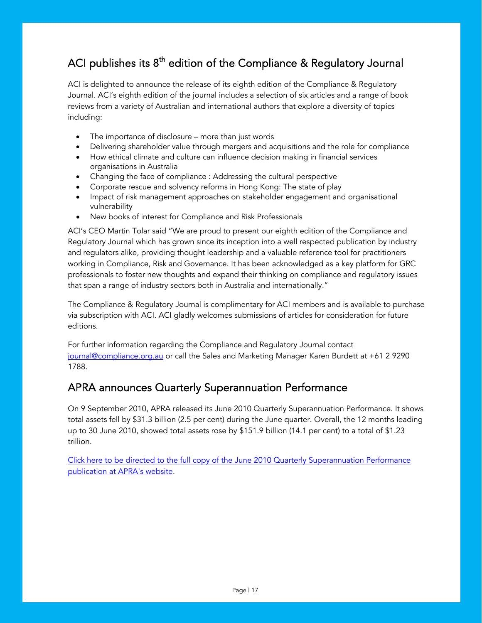# ACI publishes its  $8<sup>th</sup>$  edition of the Compliance & Regulatory Journal

ACI is delighted to announce the release of its eighth edition of the Compliance & Regulatory Journal. ACI's eighth edition of the journal includes a selection of six articles and a range of book reviews from a variety of Australian and international authors that explore a diversity of topics including:

- The importance of disclosure more than just words
- Delivering shareholder value through mergers and acquisitions and the role for compliance
- How ethical climate and culture can influence decision making in financial services organisations in Australia
- Changing the face of compliance : Addressing the cultural perspective
- Corporate rescue and solvency reforms in Hong Kong: The state of play
- Impact of risk management approaches on stakeholder engagement and organisational vulnerability
- New books of interest for Compliance and Risk Professionals

ACI's CEO Martin Tolar said "We are proud to present our eighth edition of the Compliance and Regulatory Journal which has grown since its inception into a well respected publication by industry and regulators alike, providing thought leadership and a valuable reference tool for practitioners working in Compliance, Risk and Governance. It has been acknowledged as a key platform for GRC professionals to foster new thoughts and expand their thinking on compliance and regulatory issues that span a range of industry sectors both in Australia and internationally."

The Compliance & Regulatory Journal is complimentary for ACI members and is available to purchase via subscription with ACI. ACI gladly welcomes submissions of articles for consideration for future editions.

For further information regarding the Compliance and Regulatory Journal contact journal@compliance.org.au or call the Sales and Marketing Manager Karen Burdett at +61 2 9290 1788.

# APRA announces Quarterly Superannuation Performance

On 9 September 2010, APRA released its June 2010 Quarterly Superannuation Performance. It shows total assets fell by \$31.3 billion (2.5 per cent) during the June quarter. Overall, the 12 months leading up to 30 June 2010, showed total assets rose by \$151.9 billion (14.1 per cent) to a total of \$1.23 trillion.

[Click here to be directed to the full copy of the June 2010 Quarterly Superannuation Performance](http://www.apra.gov.au/Statistics/Quarterly-Superannuation-Performance.cfm)  publication at APRA's website.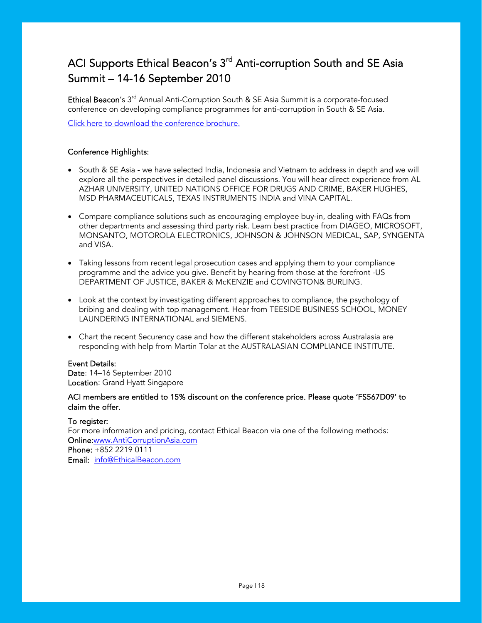# ACI Supports Ethical Beacon's 3<sup>rd</sup> Anti-corruption South and SE Asia Summit – 14-16 September 2010

Ethical Beacon's 3<sup>rd</sup> Annual Anti-Corruption South & SE Asia Summit is a corporate-focused conference on developing compliance programmes for anti-corruption in South & SE Asia.

[Click here to download the conference brochure.](http://www.beaconevents.com/2010/AntiCorruptionAsia/en/forms/download_brochure.jsp)

# Conference Highlights:

- South & SE Asia we have selected India, Indonesia and Vietnam to address in depth and we will explore all the perspectives in detailed panel discussions. You will hear direct experience from AL AZHAR UNIVERSITY, UNITED NATIONS OFFICE FOR DRUGS AND CRIME, BAKER HUGHES, MSD PHARMACEUTICALS, TEXAS INSTRUMENTS INDIA and VINA CAPITAL.
- Compare compliance solutions such as encouraging employee buy-in, dealing with FAQs from other departments and assessing third party risk. Learn best practice from DIAGEO, MICROSOFT, MONSANTO, MOTOROLA ELECTRONICS, JOHNSON & JOHNSON MEDICAL, SAP, SYNGENTA and VISA.
- Taking lessons from recent legal prosecution cases and applying them to your compliance programme and the advice you give. Benefit by hearing from those at the forefront -US DEPARTMENT OF JUSTICE, BAKER & McKENZIE and COVINGTON& BURLING.
- Look at the context by investigating different approaches to compliance, the psychology of bribing and dealing with top management. Hear from TEESIDE BUSINESS SCHOOL, MONEY LAUNDERING INTERNATIONAL and SIEMENS.
- Chart the recent Securency case and how the different stakeholders across Australasia are responding with help from Martin Tolar at the AUSTRALASIAN COMPLIANCE INSTITUTE.

# Event Details:

Date: 14–16 September 2010 Location: Grand Hyatt Singapore

# ACI members are entitled to 15% discount on the conference price. Please quote 'FS567D09' to claim the offer.

# To register:

For more information and pricing, contact Ethical Beacon via one of the following methods: Onl[ine:www.AntiCorruptionAsia.com](http://www.anticorruptionasia.com) Phone: +852 2219 0111 Email: info@EthicalBeacon.com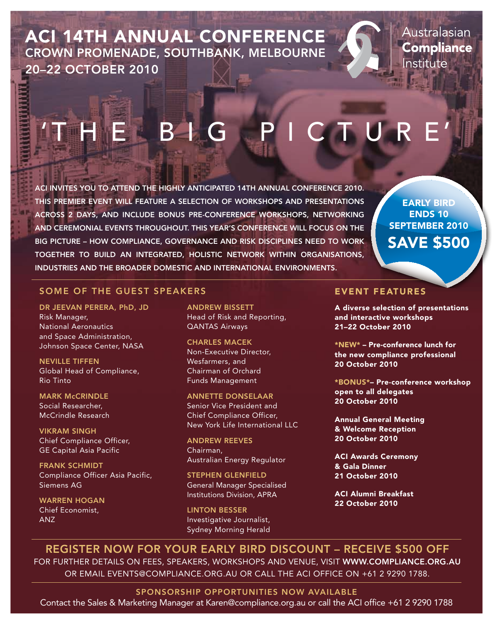ACI 14th Annual Conference 20–22 OCTOBER 2010 CROWN PROMENADE, SOUTHBANK, MELBOURNE

Australasian **Compliance** Institute

# H E B I G P I C T U R

ACI invites you to attend the highly anticipated 14th Annual Conference 2010. This premier event will feature a selection of workshops and presentations across 2 days, and include bonus pre-conference workshops, networking and ceremonial events throughout. This year's conference will focus on the big picture – how compliance, governance and risk disciplines need to work together to build an integrated, holistic network within organisations, industries and the broader domestic and international environments.

EARLY BIRD ENDS 10 SEPTEMBER 2010 SAVE \$500

# SOME OF THE GUEST SPEAKERS EVENT FEATURES

DR JEEVAN PERERA, PhD, JD Risk Manager, National Aeronautics and Space Administration, Johnson Space Center, NASA

NEVILLE TIFFEN Global Head of Compliance, Rio Tinto

**MARK McCRINDLE** Social Researcher, McCrindle Research

VIKRAM SINGH Chief Compliance Officer, GE Capital Asia Pacific

FRANK SCHMIDT Compliance Officer Asia Pacific, Siemens AG

WARREN HOGAN Chief Economist, ANZ

ANDREW BISSETT Head of Risk and Reporting, QANTAS Airways

CHARLES MACEK Non-Executive Director, Wesfarmers, and Chairman of Orchard Funds Management

ANNETTE DONSELAAR Senior Vice President and Chief Compliance Officer, New York Life International LLC

ANDREW REEVES Chairman, Australian Energy Regulator

STEPHEN GLENFIELD General Manager Specialised Institutions Division, APRA

LINTON BESSER Investigative Journalist, Sydney Morning Herald

A diverse selection of presentations and interactive workshops 21–22 October 2010

\*NEW\* – Pre-conference lunch for the new compliance professional 20 October 2010

\*BONUS\*– Pre-conference workshop open to all delegates 20 October 2010

Annual General Meeting & Welcome Reception 20 October 2010

ACI Awards Ceremony & Gala Dinner 21 October 2010

ACI Alumni Breakfast 22 October 2010

REGISTER NOW FOR YOUR EARLY BIRD DISCOUNT – RECEIVE \$500 OFF For further details on fees, speakers, workshops and venue, visit www.compliance.org.au or email events@compliance.org.au or call the ACI office on +61 2 9290 1788.

Sponsorship opportunities now available

Contact the Sales & Marketing Manager at Karen@compliance.org.au or call the ACI office +61 2 9290 1788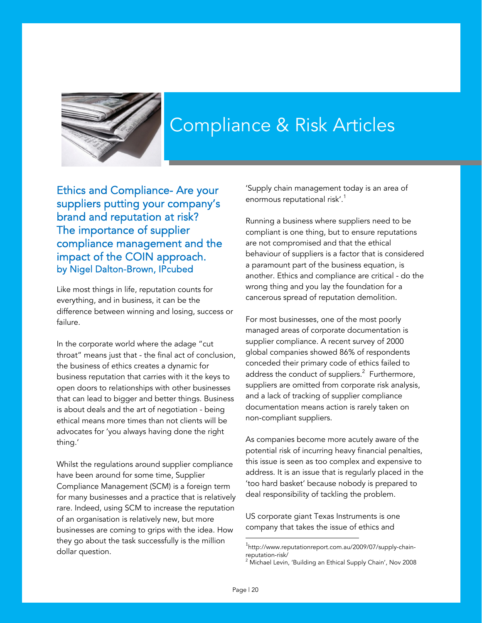<span id="page-20-0"></span>

# Compliance & Risk Articles

Ethics and Compliance- Are your suppliers putting your company's brand and reputation at risk? The importance of supplier compliance management and the impact of the COIN approach. by Nigel Dalton-Brown, IPcubed

Like most things in life, reputation counts for everything, and in business, it can be the difference between winning and losing, success or failure.

In the corporate world where the adage "cut throat" means just that - the final act of conclusion, the business of ethics creates a dynamic for business reputation that carries with it the keys to open doors to relationships with other businesses that can lead to bigger and better things. Business is about deals and the art of negotiation - being ethical means more times than not clients will be advocates for 'you always having done the right thing.'

Whilst the regulations around supplier compliance have been around for some time, Supplier Compliance Management (SCM) is a foreign term for many businesses and a practice that is relatively rare. Indeed, using SCM to increase the reputation of an organisation is relatively new, but more businesses are coming to grips with the idea. How they go about the task successfully is the million dollar question.

'Supply chain management today is an area of enormous reputational risk'.<sup>1</sup>

Running a business where suppliers need to be compliant is one thing, but to ensure reputations are not compromised and that the ethical behaviour of suppliers is a factor that is considered a paramount part of the business equation, is another. Ethics and compliance are critical - do the wrong thing and you lay the foundation for a cancerous spread of reputation demolition.

For most businesses, one of the most poorly managed areas of corporate documentation is supplier compliance. A recent survey of 2000 global companies showed 86% of respondents conceded their primary code of ethics failed to address the conduct of suppliers. $^2$  Furthermore, suppliers are omitted from corporate risk analysis, and a lack of tracking of supplier compliance documentation means action is rarely taken on non-compliant suppliers.

As companies become more acutely aware of the potential risk of incurring heavy financial penalties, this issue is seen as too complex and expensive to address. It is an issue that is regularly placed in the 'too hard basket' because nobody is prepared to deal responsibility of tackling the problem.

US corporate giant Texas Instruments is one company that takes the issue of ethics and

l

<sup>1</sup> http://www.reputationreport.com.au/2009/07/supply-chainreputation-risk/

<sup>2</sup> Michael Levin, 'Building an Ethical Supply Chain', Nov 2008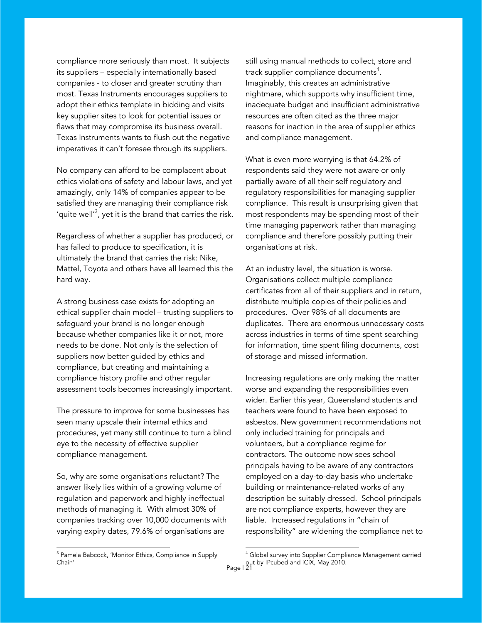compliance more seriously than most. It subjects its suppliers – especially internationally based companies - to closer and greater scrutiny than most. Texas Instruments encourages suppliers to adopt their ethics template in bidding and visits key supplier sites to look for potential issues or flaws that may compromise its business overall. Texas Instruments wants to flush out the negative imperatives it can't foresee through its suppliers.

No company can afford to be complacent about ethics violations of safety and labour laws, and yet amazingly, only 14% of companies appear to be satisfied they are managing their compliance risk 'quite well'<sup>3</sup>, yet it is the brand that carries the risk.

Regardless of whether a supplier has produced, or has failed to produce to specification, it is ultimately the brand that carries the risk: Nike, Mattel, Toyota and others have all learned this the hard way.

A strong business case exists for adopting an ethical supplier chain model – trusting suppliers to safeguard your brand is no longer enough because whether companies like it or not, more needs to be done. Not only is the selection of suppliers now better guided by ethics and compliance, but creating and maintaining a compliance history profile and other regular assessment tools becomes increasingly important.

The pressure to improve for some businesses has seen many upscale their internal ethics and procedures, yet many still continue to turn a blind eye to the necessity of effective supplier compliance management.

So, why are some organisations reluctant? The answer likely lies within of a growing volume of regulation and paperwork and highly ineffectual methods of managing it. With almost 30% of companies tracking over 10,000 documents with varying expiry dates, 79.6% of organisations are

still using manual methods to collect, store and track supplier compliance documents $\rm ^4.$ Imaginably, this creates an administrative nightmare, which supports why insufficient time, inadequate budget and insufficient administrative resources are often cited as the three major reasons for inaction in the area of supplier ethics and compliance management.

What is even more worrying is that 64.2% of respondents said they were not aware or only partially aware of all their self regulatory and regulatory responsibilities for managing supplier compliance. This result is unsurprising given that most respondents may be spending most of their time managing paperwork rather than managing compliance and therefore possibly putting their organisations at risk.

At an industry level, the situation is worse. Organisations collect multiple compliance certificates from all of their suppliers and in return, distribute multiple copies of their policies and procedures. Over 98% of all documents are duplicates. There are enormous unnecessary costs across industries in terms of time spent searching for information, time spent filing documents, cost of storage and missed information.

Increasing regulations are only making the matter worse and expanding the responsibilities even wider. Earlier this year, Queensland students and teachers were found to have been exposed to asbestos. New government recommendations not only included training for principals and volunteers, but a compliance regime for contractors. The outcome now sees school principals having to be aware of any contractors employed on a day-to-day basis who undertake building or maintenance-related works of any description be suitably dressed. School principals are not compliance experts, however they are liable. Increased regulations in "chain of responsibility" are widening the compliance net to

l

 3 Pamela Babcock, 'Monitor Ethics, Compliance in Supply Chain'

<sup>4</sup> Global survey into Supplier Compliance Management carried out by IPcubed and iCiX, May 2010.<br>Page | 21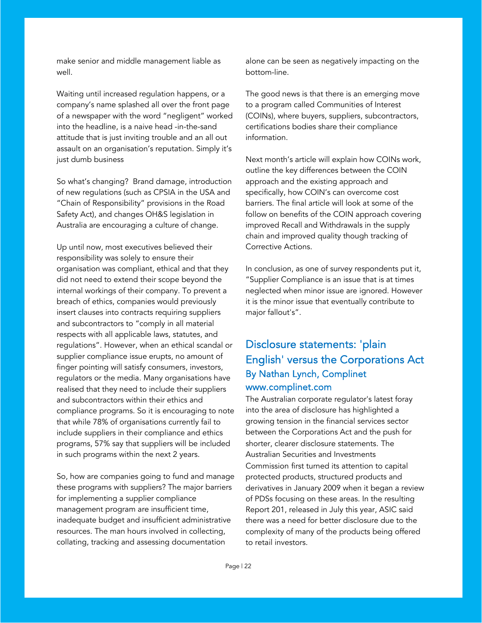<span id="page-22-0"></span>make senior and middle management liable as well.

Waiting until increased regulation happens, or a company's name splashed all over the front page of a newspaper with the word "negligent" worked into the headline, is a naive head -in-the-sand attitude that is just inviting trouble and an all out assault on an organisation's reputation. Simply it's just dumb business

So what's changing? Brand damage, introduction of new regulations (such as CPSIA in the USA and "Chain of Responsibility" provisions in the Road Safety Act), and changes OH&S legislation in Australia are encouraging a culture of change.

Up until now, most executives believed their responsibility was solely to ensure their organisation was compliant, ethical and that they did not need to extend their scope beyond the internal workings of their company. To prevent a breach of ethics, companies would previously insert clauses into contracts requiring suppliers and subcontractors to "comply in all material respects with all applicable laws, statutes, and regulations". However, when an ethical scandal or supplier compliance issue erupts, no amount of finger pointing will satisfy consumers, investors, regulators or the media. Many organisations have realised that they need to include their suppliers and subcontractors within their ethics and compliance programs. So it is encouraging to note that while 78% of organisations currently fail to include suppliers in their compliance and ethics programs, 57% say that suppliers will be included in such programs within the next 2 years.

So, how are companies going to fund and manage these programs with suppliers? The major barriers for implementing a supplier compliance management program are insufficient time, inadequate budget and insufficient administrative resources. The man hours involved in collecting, collating, tracking and assessing documentation

alone can be seen as negatively impacting on the bottom-line.

The good news is that there is an emerging move to a program called Communities of Interest (COINs), where buyers, suppliers, subcontractors, certifications bodies share their compliance information.

Next month's article will explain how COINs work, outline the key differences between the COIN approach and the existing approach and specifically, how COIN's can overcome cost barriers. The final article will look at some of the follow on benefits of the COIN approach covering improved Recall and Withdrawals in the supply chain and improved quality though tracking of Corrective Actions.

In conclusion, as one of survey respondents put it, "Supplier Compliance is an issue that is at times neglected when minor issue are ignored. However it is the minor issue that eventually contribute to major fallout's".

# Disclosure statements: 'plain English' versus the Corporations Act By Nathan Lynch, Complinet www.complinet.com

The Australian corporate regulator's latest foray into the area of disclosure has highlighted a growing tension in the financial services sector between the Corporations Act and the push for shorter, clearer disclosure statements. The Australian Securities and Investments Commission first turned its attention to capital protected products, structured products and derivatives in January 2009 when it began a review of PDSs focusing on these areas. In the resulting Report 201, released in July this year, ASIC said there was a need for better disclosure due to the complexity of many of the products being offered to retail investors.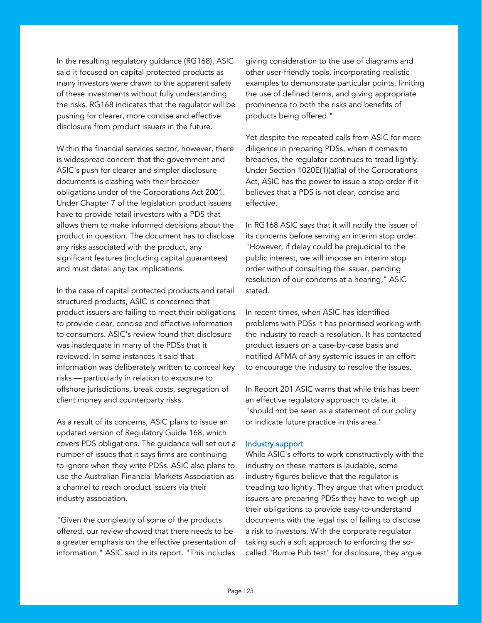In the resulting regulatory guidance (RG168), ASIC said it focused on capital protected products as many investors were drawn to the apparent safety of these investments without fully understanding the risks. RG168 indicates that the regulator will be pushing for clearer, more concise and effective disclosure from product issuers in the future.

Within the financial services sector, however, there is widespread concern that the government and ASIC's push for clearer and simpler disclosure documents is clashing with their broader obligations under of the Corporations Act 2001. Under Chapter 7 of the legislation product issuers have to provide retail investors with a PDS that allows them to make informed decisions about the product in question. The document has to disclose any risks associated with the product, any significant features (including capital guarantees) and must detail any tax implications.

In the case of capital protected products and retail structured products, ASIC is concerned that product issuers are failing to meet their obligations to provide clear, concise and effective information to consumers. ASIC's review found that disclosure was inadequate in many of the PDSs that it reviewed. In some instances it said that information was deliberately written to conceal key risks — particularly in relation to exposure to offshore jurisdictions, break costs, segregation of client money and counterparty risks.

As a result of its concerns, ASIC plans to issue an updated version of Regulatory Guide 168, which covers PDS obligations. The guidance will set out a number of issues that it says firms are continuing to ignore when they write PDSs. ASIC also plans to use the Australian Financial Markets Association as a channel to reach product issuers via their industry association.

"Given the complexity of some of the products offered, our review showed that there needs to be a greater emphasis on the effective presentation of information," ASIC said in its report. "This includes

giving consideration to the use of diagrams and other user-friendly tools, incorporating realistic examples to demonstrate particular points, limiting the use of defined terms, and giving appropriate prominence to both the risks and benefits of products being offered."

Yet despite the repeated calls from ASIC for more diligence in preparing PDSs, when it comes to breaches, the regulator continues to tread lightly. Under Section 1020E(1)(a)(ia) of the Corporations Act, ASIC has the power to issue a stop order if it believes that a PDS is not clear, concise and effective.

In RG168 ASIC says that it will notify the issuer of its concerns before serving an interim stop order. "However, if delay could be prejudicial to the public interest, we will impose an interim stop order without consulting the issuer, pending resolution of our concerns at a hearing," ASIC stated.

In recent times, when ASIC has identified problems with PDSs it has prioritised working with the industry to reach a resolution. It has contacted product issuers on a case-by-case basis and notified AFMA of any systemic issues in an effort to encourage the industry to resolve the issues.

In Report 201 ASIC warns that while this has been an effective regulatory approach to date, it "should not be seen as a statement of our policy or indicate future practice in this area."

# Industry support

While ASIC's efforts to work constructively with the industry on these matters is laudable, some industry figures believe that the regulator is treading too lightly. They argue that when product issuers are preparing PDSs they have to weigh up their obligations to provide easy-to-understand documents with the legal risk of failing to disclose a risk to investors. With the corporate regulator taking such a soft approach to enforcing the socalled "Burnie Pub test" for disclosure, they argue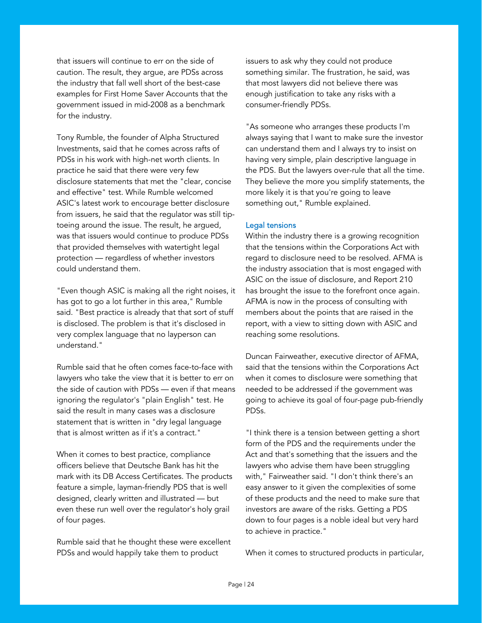that issuers will continue to err on the side of caution. The result, they argue, are PDSs across the industry that fall well short of the best-case examples for First Home Saver Accounts that the government issued in mid-2008 as a benchmark for the industry.

Tony Rumble, the founder of Alpha Structured Investments, said that he comes across rafts of PDSs in his work with high-net worth clients. In practice he said that there were very few disclosure statements that met the "clear, concise and effective" test. While Rumble welcomed ASIC's latest work to encourage better disclosure from issuers, he said that the regulator was still tiptoeing around the issue. The result, he argued, was that issuers would continue to produce PDSs that provided themselves with watertight legal protection — regardless of whether investors could understand them.

"Even though ASIC is making all the right noises, it has got to go a lot further in this area," Rumble said. "Best practice is already that that sort of stuff is disclosed. The problem is that it's disclosed in very complex language that no layperson can understand."

Rumble said that he often comes face-to-face with lawyers who take the view that it is better to err on the side of caution with PDSs — even if that means ignoring the regulator's "plain English" test. He said the result in many cases was a disclosure statement that is written in "dry legal language that is almost written as if it's a contract."

When it comes to best practice, compliance officers believe that Deutsche Bank has hit the mark with its DB Access Certificates. The products feature a simple, layman-friendly PDS that is well designed, clearly written and illustrated — but even these run well over the regulator's holy grail of four pages.

Rumble said that he thought these were excellent PDSs and would happily take them to product

issuers to ask why they could not produce something similar. The frustration, he said, was that most lawyers did not believe there was enough justification to take any risks with a consumer-friendly PDSs.

"As someone who arranges these products I'm always saying that I want to make sure the investor can understand them and I always try to insist on having very simple, plain descriptive language in the PDS. But the lawyers over-rule that all the time. They believe the more you simplify statements, the more likely it is that you're going to leave something out," Rumble explained.

## Legal tensions

Within the industry there is a growing recognition that the tensions within the Corporations Act with regard to disclosure need to be resolved. AFMA is the industry association that is most engaged with ASIC on the issue of disclosure, and Report 210 has brought the issue to the forefront once again. AFMA is now in the process of consulting with members about the points that are raised in the report, with a view to sitting down with ASIC and reaching some resolutions.

Duncan Fairweather, executive director of AFMA, said that the tensions within the Corporations Act when it comes to disclosure were something that needed to be addressed if the government was going to achieve its goal of four-page pub-friendly PDSs.

"I think there is a tension between getting a short form of the PDS and the requirements under the Act and that's something that the issuers and the lawyers who advise them have been struggling with," Fairweather said. "I don't think there's an easy answer to it given the complexities of some of these products and the need to make sure that investors are aware of the risks. Getting a PDS down to four pages is a noble ideal but very hard to achieve in practice."

When it comes to structured products in particular,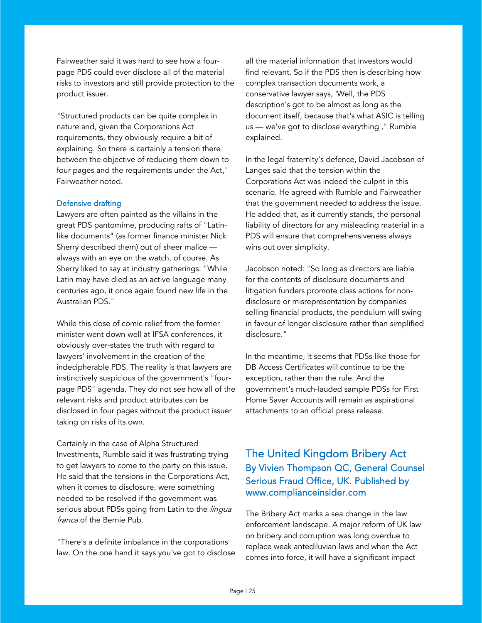<span id="page-25-0"></span>Fairweather said it was hard to see how a fourpage PDS could ever disclose all of the material risks to investors and still provide protection to the product issuer.

"Structured products can be quite complex in nature and, given the Corporations Act requirements, they obviously require a bit of explaining. So there is certainly a tension there between the objective of reducing them down to four pages and the requirements under the Act," Fairweather noted.

## Defensive drafting

Lawyers are often painted as the villains in the great PDS pantomime, producing rafts of "Latinlike documents" (as former finance minister Nick Sherry described them) out of sheer malice always with an eye on the watch, of course. As Sherry liked to say at industry gatherings: "While Latin may have died as an active language many centuries ago, it once again found new life in the Australian PDS."

While this dose of comic relief from the former minister went down well at IFSA conferences, it obviously over-states the truth with regard to lawyers' involvement in the creation of the indecipherable PDS. The reality is that lawyers are instinctively suspicious of the government's "fourpage PDS" agenda. They do not see how all of the relevant risks and product attributes can be disclosed in four pages without the product issuer taking on risks of its own.

Certainly in the case of Alpha Structured Investments, Rumble said it was frustrating trying to get lawyers to come to the party on this issue. He said that the tensions in the Corporations Act, when it comes to disclosure, were something needed to be resolved if the government was serious about PDSs going from Latin to the lingua franca of the Bernie Pub.

"There's a definite imbalance in the corporations law. On the one hand it says you've got to disclose all the material information that investors would find relevant. So if the PDS then is describing how complex transaction documents work, a conservative lawyer says, 'Well, the PDS description's got to be almost as long as the document itself, because that's what ASIC is telling us — we've got to disclose everything'," Rumble explained.

In the legal fraternity's defence, David Jacobson of Langes said that the tension within the Corporations Act was indeed the culprit in this scenario. He agreed with Rumble and Fairweather that the government needed to address the issue. He added that, as it currently stands, the personal liability of directors for any misleading material in a PDS will ensure that comprehensiveness always wins out over simplicity.

Jacobson noted: "So long as directors are liable for the contents of disclosure documents and litigation funders promote class actions for nondisclosure or misrepresentation by companies selling financial products, the pendulum will swing in favour of longer disclosure rather than simplified disclosure."

In the meantime, it seems that PDSs like those for DB Access Certificates will continue to be the exception, rather than the rule. And the government's much-lauded sample PDSs for First Home Saver Accounts will remain as aspirational attachments to an official press release.

# The United Kingdom Bribery Act By Vivien Thompson QC, General Counsel Serious Fraud Office, UK. Published by www.complianceinsider.com

The Bribery Act marks a sea change in the law enforcement landscape. A major reform of UK law on bribery and corruption was long overdue to replace weak antediluvian laws and when the Act comes into force, it will have a significant impact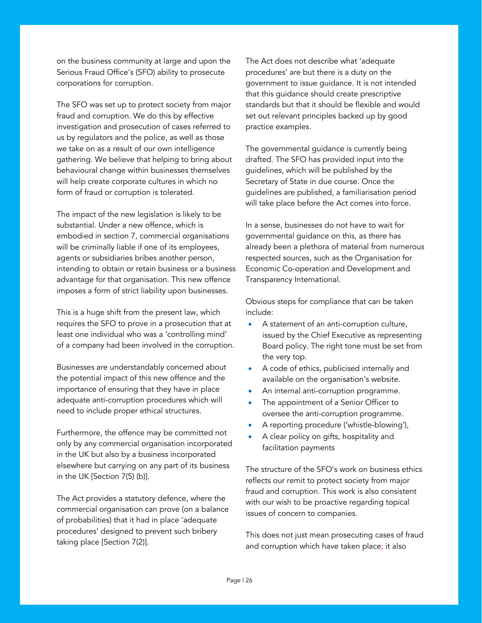on the business community at large and upon the Serious Fraud Office's (SFO) ability to prosecute corporations for corruption.

The SFO was set up to protect society from major fraud and corruption. We do this by effective investigation and prosecution of cases referred to us by regulators and the police, as well as those we take on as a result of our own intelligence gathering. We believe that helping to bring about behavioural change within businesses themselves will help create corporate cultures in which no form of fraud or corruption is tolerated.

The impact of the new legislation is likely to be substantial. Under a new offence, which is embodied in section 7, commercial organisations will be criminally liable if one of its employees, agents or subsidiaries bribes another person, intending to obtain or retain business or a business advantage for that organisation. This new offence imposes a form of strict liability upon businesses.

This is a huge shift from the present law, which requires the SFO to prove in a prosecution that at least one individual who was a 'controlling mind' of a company had been involved in the corruption.

Businesses are understandably concerned about the potential impact of this new offence and the importance of ensuring that they have in place adequate anti-corruption procedures which will need to include proper ethical structures.

Furthermore, the offence may be committed not only by any commercial organisation incorporated in the UK but also by a business incorporated elsewhere but carrying on any part of its business in the UK [Section 7(5) (b)].

The Act provides a statutory defence, where the commercial organisation can prove (on a balance of probabilities) that it had in place 'adequate procedures' designed to prevent such bribery taking place [Section 7(2)].

The Act does not describe what 'adequate procedures' are but there is a duty on the government to issue guidance. It is not intended that this guidance should create prescriptive standards but that it should be flexible and would set out relevant principles backed up by good practice examples.

The governmental guidance is currently being drafted. The SFO has provided input into the guidelines, which will be published by the Secretary of State in due course. Once the guidelines are published, a familiarisation period will take place before the Act comes into force.

In a sense, businesses do not have to wait for governmental guidance on this, as there has already been a plethora of material from numerous respected sources, such as the Organisation for Economic Co-operation and Development and Transparency International.

Obvious steps for compliance that can be taken include:

- A statement of an anti-corruption culture, issued by the Chief Executive as representing Board policy. The right tone must be set from the very top.
- A code of ethics, publicised internally and available on the organisation's website.
- An internal anti-corruption programme.
- The appointment of a Senior Officer to oversee the anti-corruption programme.
- A reporting procedure ('whistle-blowing'),
- A clear policy on gifts, hospitality and facilitation payments

The structure of the SFO's work on business ethics reflects our remit to protect society from major fraud and corruption. This work is also consistent with our wish to be proactive regarding topical issues of concern to companies.

This does not just mean prosecuting cases of fraud and corruption which have taken place; it also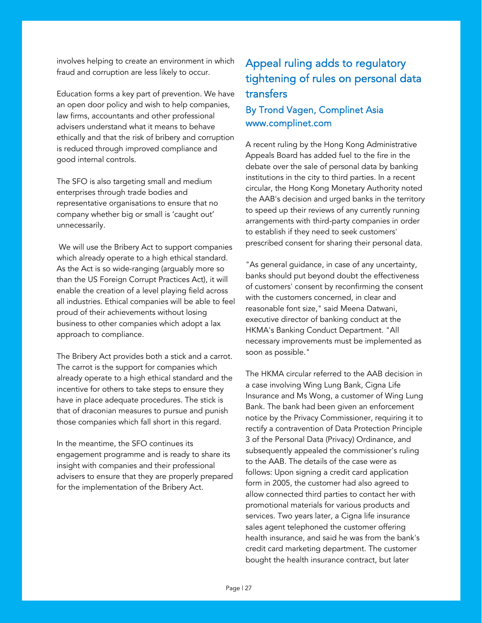<span id="page-27-0"></span>involves helping to create an environment in which fraud and corruption are less likely to occur.

Education forms a key part of prevention. We have an open door policy and wish to help companies, law firms, accountants and other professional advisers understand what it means to behave ethically and that the risk of bribery and corruption is reduced through improved compliance and good internal controls.

The SFO is also targeting small and medium enterprises through trade bodies and representative organisations to ensure that no company whether big or small is 'caught out' unnecessarily.

 We will use the Bribery Act to support companies which already operate to a high ethical standard. As the Act is so wide-ranging (arguably more so than the US Foreign Corrupt Practices Act), it will enable the creation of a level playing field across all industries. Ethical companies will be able to feel proud of their achievements without losing business to other companies which adopt a lax approach to compliance.

The Bribery Act provides both a stick and a carrot. The carrot is the support for companies which already operate to a high ethical standard and the incentive for others to take steps to ensure they have in place adequate procedures. The stick is that of draconian measures to pursue and punish those companies which fall short in this regard.

In the meantime, the SFO continues its engagement programme and is ready to share its insight with companies and their professional advisers to ensure that they are properly prepared for the implementation of the Bribery Act.

# Appeal ruling adds to regulatory tightening of rules on personal data transfers

# By Trond Vagen, Complinet Asia www.complinet.com

A recent ruling by the Hong Kong Administrative Appeals Board has added fuel to the fire in the debate over the sale of personal data by banking institutions in the city to third parties. In a recent circular, the Hong Kong Monetary Authority noted the AAB's decision and urged banks in the territory to speed up their reviews of any currently running arrangements with third-party companies in order to establish if they need to seek customers' prescribed consent for sharing their personal data.

"As general guidance, in case of any uncertainty, banks should put beyond doubt the effectiveness of customers' consent by reconfirming the consent with the customers concerned, in clear and reasonable font size," said Meena Datwani, executive director of banking conduct at the HKMA's Banking Conduct Department. "All necessary improvements must be implemented as soon as possible."

The HKMA circular referred to the AAB decision in a case involving Wing Lung Bank, Cigna Life Insurance and Ms Wong, a customer of Wing Lung Bank. The bank had been given an enforcement notice by the Privacy Commissioner, requiring it to rectify a contravention of Data Protection Principle 3 of the Personal Data (Privacy) Ordinance, and subsequently appealed the commissioner's ruling to the AAB. The details of the case were as follows: Upon signing a credit card application form in 2005, the customer had also agreed to allow connected third parties to contact her with promotional materials for various products and services. Two years later, a Cigna life insurance sales agent telephoned the customer offering health insurance, and said he was from the bank's credit card marketing department. The customer bought the health insurance contract, but later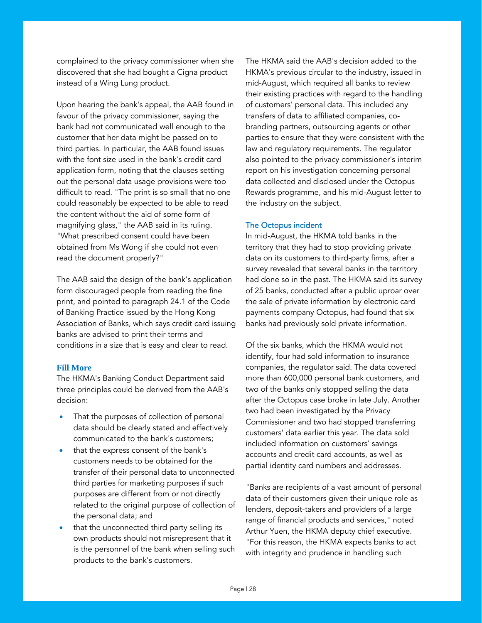complained to the privacy commissioner when she discovered that she had bought a Cigna product instead of a Wing Lung product.

Upon hearing the bank's appeal, the AAB found in favour of the privacy commissioner, saying the bank had not communicated well enough to the customer that her data might be passed on to third parties. In particular, the AAB found issues with the font size used in the bank's credit card application form, noting that the clauses setting out the personal data usage provisions were too difficult to read. "The print is so small that no one could reasonably be expected to be able to read the content without the aid of some form of magnifying glass," the AAB said in its ruling. "What prescribed consent could have been obtained from Ms Wong if she could not even read the document properly?"

The AAB said the design of the bank's application form discouraged people from reading the fine print, and pointed to paragraph 24.1 of the Code of Banking Practice issued by the Hong Kong Association of Banks, which says credit card issuing banks are advised to print their terms and conditions in a size that is easy and clear to read.

### **Fill More**

The HKMA's Banking Conduct Department said three principles could be derived from the AAB's decision:

- That the purposes of collection of personal data should be clearly stated and effectively communicated to the bank's customers;
- that the express consent of the bank's customers needs to be obtained for the transfer of their personal data to unconnected third parties for marketing purposes if such purposes are different from or not directly related to the original purpose of collection of the personal data; and
- that the unconnected third party selling its own products should not misrepresent that it is the personnel of the bank when selling such products to the bank's customers.

The HKMA said the AAB's decision added to the HKMA's previous circular to the industry, issued in mid-August, which required all banks to review their existing practices with regard to the handling of customers' personal data. This included any transfers of data to affiliated companies, cobranding partners, outsourcing agents or other parties to ensure that they were consistent with the law and regulatory requirements. The regulator also pointed to the privacy commissioner's interim report on his investigation concerning personal data collected and disclosed under the Octopus Rewards programme, and his mid-August letter to the industry on the subject.

# The Octopus incident

In mid-August, the HKMA told banks in the territory that they had to stop providing private data on its customers to third-party firms, after a survey revealed that several banks in the territory had done so in the past. The HKMA said its survey of 25 banks, conducted after a public uproar over the sale of private information by electronic card payments company Octopus, had found that six banks had previously sold private information.

Of the six banks, which the HKMA would not identify, four had sold information to insurance companies, the regulator said. The data covered more than 600,000 personal bank customers, and two of the banks only stopped selling the data after the Octopus case broke in late July. Another two had been investigated by the Privacy Commissioner and two had stopped transferring customers' data earlier this year. The data sold included information on customers' savings accounts and credit card accounts, as well as partial identity card numbers and addresses.

"Banks are recipients of a vast amount of personal data of their customers given their unique role as lenders, deposit-takers and providers of a large range of financial products and services," noted Arthur Yuen, the HKMA deputy chief executive. "For this reason, the HKMA expects banks to act with integrity and prudence in handling such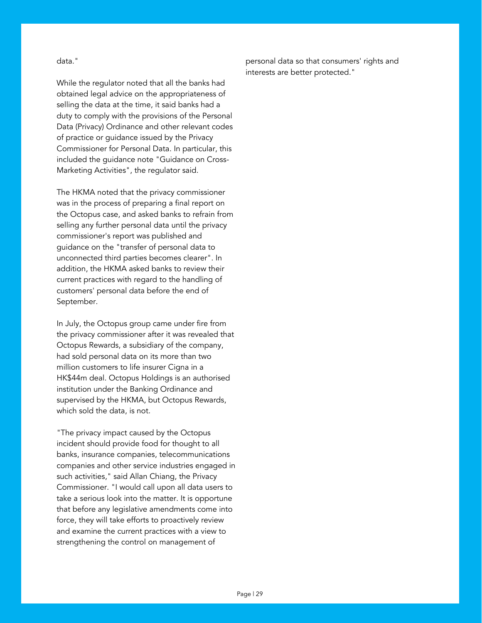data."

While the regulator noted that all the banks had obtained legal advice on the appropriateness of selling the data at the time, it said banks had a duty to comply with the provisions of the Personal Data (Privacy) Ordinance and other relevant codes of practice or guidance issued by the Privacy Commissioner for Personal Data. In particular, this included the guidance note "Guidance on Cross-Marketing Activities", the regulator said.

The HKMA noted that the privacy commissioner was in the process of preparing a final report on the Octopus case, and asked banks to refrain from selling any further personal data until the privacy commissioner's report was published and guidance on the "transfer of personal data to unconnected third parties becomes clearer". In addition, the HKMA asked banks to review their current practices with regard to the handling of customers' personal data before the end of September.

In July, the Octopus group came under fire from the privacy commissioner after it was revealed that Octopus Rewards, a subsidiary of the company, had sold personal data on its more than two million customers to life insurer Cigna in a HK\$44m deal. Octopus Holdings is an authorised institution under the Banking Ordinance and supervised by the HKMA, but Octopus Rewards, which sold the data, is not.

"The privacy impact caused by the Octopus incident should provide food for thought to all banks, insurance companies, telecommunications companies and other service industries engaged in such activities," said Allan Chiang, the Privacy Commissioner. "I would call upon all data users to take a serious look into the matter. It is opportune that before any legislative amendments come into force, they will take efforts to proactively review and examine the current practices with a view to strengthening the control on management of

personal data so that consumers' rights and interests are better protected."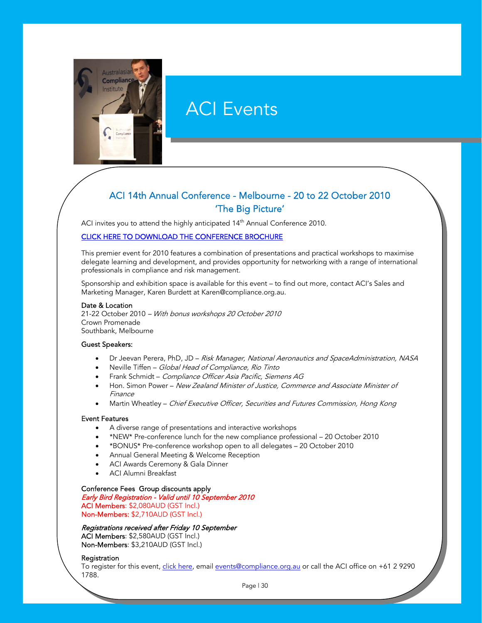<span id="page-30-0"></span>

# ACI Events

# ACI 14th Annual Conference - Melbourne - 20 to 22 October 2010 'The Big Picture'

ACI invites you to attend the highly anticipated 14<sup>th</sup> Annual Conference 2010.

#### [CLICK HERE TO DOWNLOAD THE CONFERENCE BROCHURE](http://www.compliance.org.au/www_aci/user/docs/ACI%2014th%20ANNUAL%20CONFERENCE%20BROCHURE%202010%20(LOW%20RES).pdf)

This premier event for 2010 features a combination of presentations and practical workshops to maximise delegate learning and development, and provides opportunity for networking with a range of international professionals in compliance and risk management.

Sponsorship and exhibition space is available for this event – to find out more, contact ACI's Sales and Marketing Manager, Karen Burdett at Karen@compliance.org.au.

#### Date & Location

21-22 October 2010 – With bonus workshops 20 October 2010 Crown Promenade Southbank, Melbourne

#### Guest Speakers:

- Dr Jeevan Perera, PhD, JD Risk Manager, National Aeronautics and SpaceAdministration, NASA
- Neville Tiffen Global Head of Compliance, Rio Tinto
- Frank Schmidt Compliance Officer Asia Pacific, Siemens AG
- Hon. Simon Power New Zealand Minister of Justice, Commerce and Associate Minister of Finance
- Martin Wheatley Chief Executive Officer, Securities and Futures Commission, Hong Kong

#### Event Features

- A diverse range of presentations and interactive workshops
- \*NEW\* Pre-conference lunch for the new compliance professional 20 October 2010
- \*BONUS\* Pre-conference workshop open to all delegates 20 October 2010
- Annual General Meeting & Welcome Reception
- ACI Awards Ceremony & Gala Dinner
- ACI Alumni Breakfast

## Conference Fees Group discounts apply

Early Bird Registration - Valid until 10 September 2010 ACI Members: \$2,080AUD (GST Incl.) Non-Members: \$2,710AUD (GST Incl.)

#### Registrations received after Friday 10 September

ACI Members: \$2,580AUD (GST Incl.) Non-Members: \$3,210AUD (GST Incl.)

#### **Registration**

To register for this event, [click here](http://www.compliance.org.au/www_aci/events.asp?menuid=3&eventid=308&date=23/02/2010&stateid=), email events@compliance.org.au or call the ACI office on +61 2 9290 1788.

Page | 30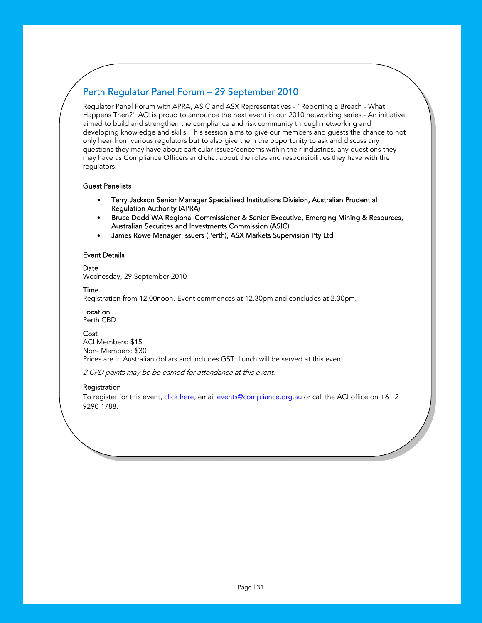# Perth Regulator Panel Forum – 29 September 2010

Regulator Panel Forum with APRA, ASIC and ASX Representatives - "Reporting a Breach - What Happens Then?" ACI is proud to announce the next event in our 2010 networking series - An initiative aimed to build and strengthen the compliance and risk community through networking and developing knowledge and skills. This session aims to give our members and guests the chance to not only hear from various regulators but to also give them the opportunity to ask and discuss any questions they may have about particular issues/concerns within their industries, any questions they may have as Compliance Officers and chat about the roles and responsibilities they have with the regulators.

#### Guest Panelists

- Terry Jackson Senior Manager Specialised Institutions Division, Australian Prudential Regulation Authority (APRA)
- Bruce Dodd WA Regional Commissioner & Senior Executive, Emerging Mining & Resources, Australian Securites and Investments Commission (ASIC)
- James Rowe Manager Issuers (Perth), ASX Markets Supervision Pty Ltd

#### Event Details

Date

Wednesday, 29 September 2010

#### Time

Registration from 12.00noon. Event commences at 12.30pm and concludes at 2.30pm.

Location

Perth CBD

# **Cost**

ACI Members: \$15 Non- Members: \$30 Prices are in Australian dollars and includes GST. Lunch will be served at this event..

2 CPD points may be be earned for attendance at this event.

### Registration

To register for this event, *click here*, email events@compliance.org.au or call the ACI office on +61 2 9290 1788.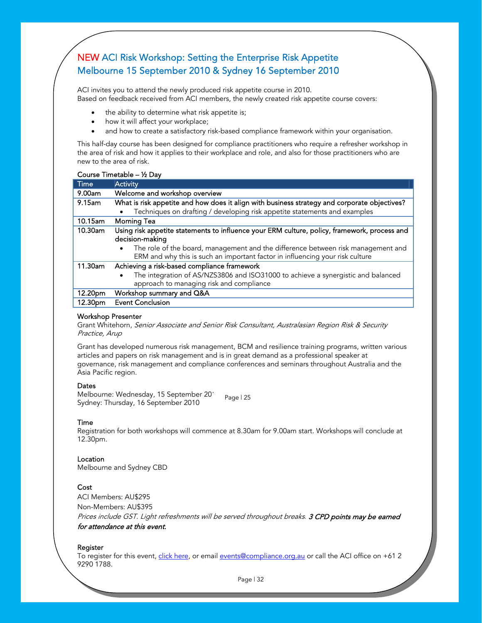# NEW ACI Risk Workshop: Setting the Enterprise Risk Appetite Melbourne 15 September 2010 & Sydney 16 September 2010

ACI invites you to attend the newly produced risk appetite course in 2010. Based on feedback received from ACI members, the newly created risk appetite course covers:

- the ability to determine what risk appetite is;
- how it will affect your workplace;
- and how to create a satisfactory risk-based compliance framework within your organisation.

This half-day course has been designed for compliance practitioners who require a refresher workshop in the area of risk and how it applies to their workplace and role, and also for those practitioners who are new to the area of risk.

#### Course Timetable – ½ Day

| Time      | Activity                                                                                      |
|-----------|-----------------------------------------------------------------------------------------------|
| 9.00am    | Welcome and workshop overview                                                                 |
| $9.15$ am | What is risk appetite and how does it align with business strategy and corporate objectives?  |
|           | Techniques on drafting / developing risk appetite statements and examples                     |
| 10.15am   | <b>Morning Tea</b>                                                                            |
| 10.30am   | Using risk appetite statements to influence your ERM culture, policy, framework, process and  |
|           | decision-making                                                                               |
|           | The role of the board, management and the difference between risk management and<br>$\bullet$ |
|           | ERM and why this is such an important factor in influencing your risk culture                 |
| 11.30am   | Achieving a risk-based compliance framework                                                   |
|           | The integration of AS/NZS3806 and ISO31000 to achieve a synergistic and balanced<br>$\bullet$ |
|           | approach to managing risk and compliance                                                      |
| 12.20pm   | Workshop summary and Q&A                                                                      |
| 12.30pm   | <b>Event Conclusion</b>                                                                       |

#### Workshop Presenter

Grant Whitehorn, Senior Associate and Senior Risk Consultant, Australasian Region Risk & Security Practice, Arup

Grant has developed numerous risk management, BCM and resilience training programs, written various articles and papers on risk management and is in great demand as a professional speaker at governance, risk management and compliance conferences and seminars throughout Australia and the Asia Pacific region.

#### **Dates**

Page | 25 Melbourne: Wednesday, 15 September 201 Sydney: Thursday, 16 September 2010

#### Time

Registration for both workshops will commence at 8.30am for 9.00am start. Workshops will conclude at 12.30pm.

#### Location

Melbourne and Sydney CBD

### **Cost**

ACI Members: AU\$295 Non-Members: AU\$395 Prices include GST. Light refreshments will be served throughout breaks. 3 CPD points may be earned for attendance at this event.

#### Register

To register for this [event, click here, or e](http://www.compliance.org.au/www_aci/events.asp?menuid=3&eventid=354&date=10/09/2010&stateid=)mail events@compliance.org.au or call the ACI office on +61 2 9290 1788.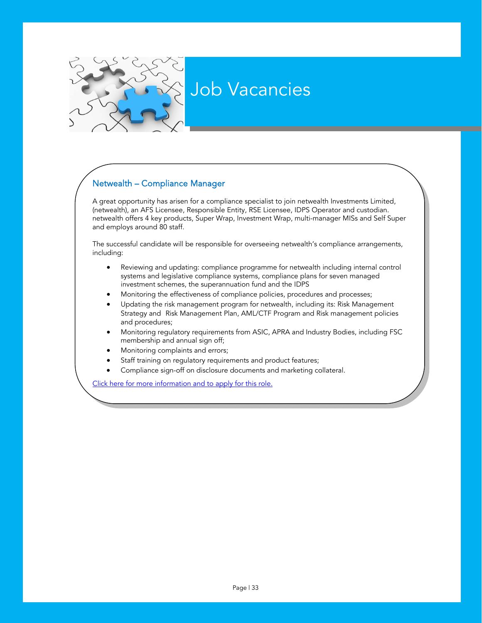# Job Vacancies

# <span id="page-33-0"></span>/ Netwealth – Compliance Manager

A great opportunity has arisen for a compliance specialist to join netwealth Investments Limited, (netwealth), an AFS Licensee, Responsible Entity, RSE Licensee, IDPS Operator and custodian. netwealth offers 4 key products, Super Wrap, Investment Wrap, multi-manager MISs and Self Super and employs around 80 staff.

The successful candidate will be responsible for overseeing netwealth's compliance arrangements, including:

- Reviewing and updating: compliance programme for netwealth including internal control systems and legislative compliance systems, compliance plans for seven managed investment schemes, the superannuation fund and the IDPS
- Monitoring the effectiveness of compliance policies, procedures and processes;
- Updating the risk management program for netwealth, including its: Risk Management Strategy and Risk Management Plan, AML/CTF Program and Risk management policies and procedures;
- $\vert$  membership and annual sign off; • Monitoring regulatory requirements from ASIC, APRA and Industry Bodies, including FSC
	- Monitoring complaints and errors;
	- Staff training on regulatory requirements and product features;
	- [Compliance sign-off on disclosure documents and marketi](http://www.compliance.org.au/www_aci/user/docs/netwealth%20-%20compliance%20manager.pdf)ng collateral.

Click here for more information and to apply for this role.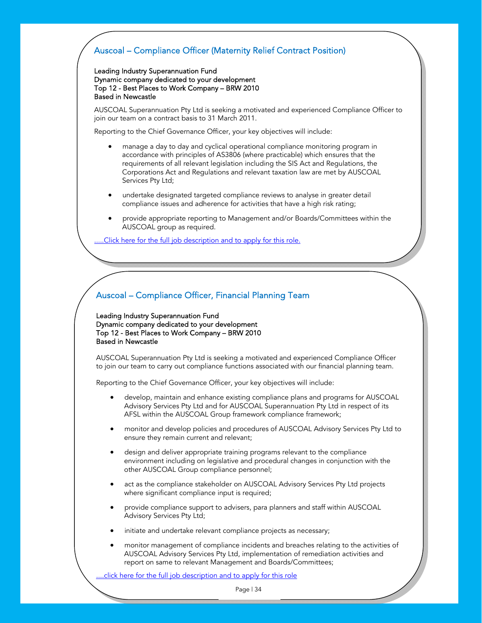# <span id="page-34-0"></span>Auscoal – Compliance Officer (Maternity Relief Contract Position)

Leading Industry Superannuation Fund Dynamic company dedicated to your development Top 12 - Best Places to Work Company – BRW 2010 Based in Newcastle

AUSCOAL Superannuation Pty Ltd is seeking a motivated and experienced Compliance Officer to join our team on a contract basis to 31 March 2011.

Reporting to the Chief Governance Officer, your key objectives will include:

- manage a day to day and cyclical operational compliance monitoring program in accordance with principles of AS3806 (where practicable) which ensures that the requirements of all relevant legislation including the SIS Act and Regulations, the Corporations Act and Regulations and relevant taxation law are met by AUSCOAL Services Pty Ltd;
- undertake designated targeted compliance reviews to analyse in greater detail compliance issues and adherence for activities that have a high risk rating;
- provide appropriate reporting to Management and/or Boards/Committees within the AUSCOAL group as required.

.Click here for the full job description and to apply for this role.

# Auscoal – Compliance Officer, Financial Planning Team

Leading Industry Superannuation Fund Dynamic company dedicated to your development Top 12 - Best Places to Work Company – BRW 2010 Based in Newcastle

AUSCOAL Superannuation Pty Ltd is seeking a motivated and experienced Compliance Officer to join our team to carry out compliance functions associated with our financial planning team.

Reporting to the Chief Governance Officer, your key objectives will include:

- develop, maintain and enhance existing compliance plans and programs for AUSCOAL Advisory Services Pty Ltd and for AUSCOAL Superannuation Pty Ltd in respect of its AFSL within the AUSCOAL Group framework compliance framework;
- monitor and develop policies and procedures of AUSCOAL Advisory Services Pty Ltd to ensure they remain current and relevant;
- design and deliver appropriate training programs relevant to the compliance environment including on legislative and procedural changes in conjunction with the other AUSCOAL Group compliance personnel;
- act as the compliance stakeholder on AUSCOAL Advisory Services Pty Ltd projects where significant compliance input is required;
- provide compliance support to advisers, para planners and staff within AUSCOAL Advisory Services Pty Ltd;
- initiate and undertake relevant compliance projects as necessary;
- monitor management of compliance incidents and breaches relating to the activities of AUSCOAL Advisory Services Pty Ltd, implementation of remediation activities and report on same to relevant Management and Boards/Committees;

.click here for the full job description and to apply for this role

Page | 34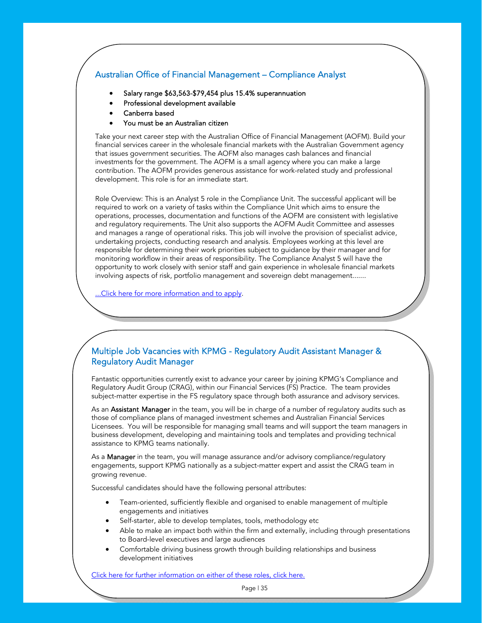# <span id="page-35-0"></span>Australian Office of Financial Management – Compliance Analyst

- Salary range \$63,563-\$79,454 plus 15.4% superannuation
- Professional development available
- Canberra based
- You must be an Australian citizen

Take your next career step with the Australian Office of Financial Management (AOFM). Build your financial services career in the wholesale financial markets with the Australian Government agency that issues government securities. The AOFM also manages cash balances and financial investments for the government. The AOFM is a small agency where you can make a large contribution. The AOFM provides generous assistance for work-related study and professional development. This role is for an immediate start.

Role Overview: This is an Analyst 5 role in the Compliance Unit. The successful applicant will be required to work on a variety of tasks within the Compliance Unit which aims to ensure the operations, processes, documentation and functions of the AOFM are consistent with legislative and regulatory requirements. The Unit also supports the AOFM Audit Committee and assesses and manages a range of operational risks. This job will involve the provision of specialist advice, undertaking projects, conducting research and analysis. Employees working at this level are responsible for determining their work priorities subject to guidance by their manager and for monitoring workflow in their areas of responsibility. The Compliance Analyst 5 will have the [opportunity to work closely with senior staff and gain experience in wholesale financial markets](http://www.compliance.org.au/www_aci/default.asp?menuid=24&artid=1153)  involving aspects of risk, portfolio management and sovereign debt management.......

...Click here for more information and to apply.

# Multiple Job Vacancies with KPMG - Regulatory Audit Assistant Manager & Regulatory Audit Manager

Fantastic opportunities currently exist to advance your career by joining KPMG's Compliance and Regulatory Audit Group (CRAG), within our Financial Services (FS) Practice. The team provides subject-matter expertise in the FS regulatory space through both assurance and advisory services.

As an **Assistant Manager** in the team, you will be in charge of a number of regulatory audits such as those of compliance plans of managed investment schemes and Australian Financial Services Licensees. You will be responsible for managing small teams and will support the team managers in business development, developing and maintaining tools and templates and providing technical assistance to KPMG teams nationally.

As a **Manager** in the team, you will manage assurance and/or advisory compliance/regulatory engagements, support KPMG nationally as a subject-matter expert and assist the CRAG team in growing revenue.

Successful candidates should have the following personal attributes:

- Team-oriented, sufficiently flexible and organised to enable management of multiple engagements and initiatives
- Self-starter, able to develop templates, tools, methodology etc
- Able to make an impact both within the firm and externally, including through presentations to Board-level executives and large audiences
- [Comfortable driving business growth through building relationships and busines](http://www.compliance.org.au/www_aci/default.asp?menuid=24&artid=1144)s development initiatives

Click here for further information on either of these roles, click here.

Page | 35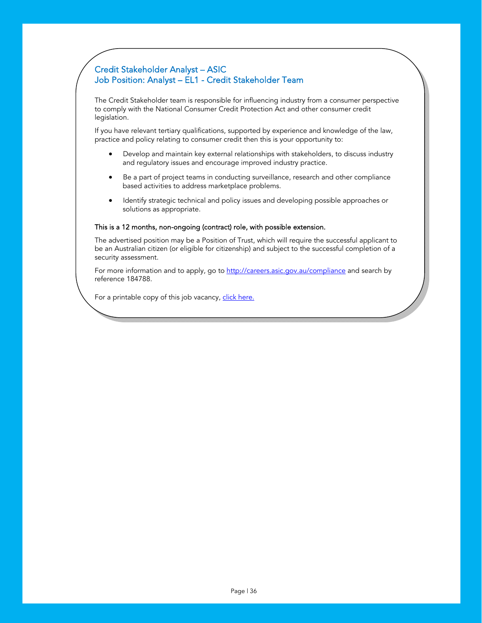# <span id="page-36-0"></span>Credit Stakeholder Analyst – ASIC Job Position: Analyst – EL1 - Credit Stakeholder Team

The Credit Stakeholder team is responsible for influencing industry from a consumer perspective to comply with the National Consumer Credit Protection Act and other consumer credit legislation.

If you have relevant tertiary qualifications, supported by experience and knowledge of the law, practice and policy relating to consumer credit then this is your opportunity to:

- Develop and maintain key external relationships with stakeholders, to discuss industry and regulatory issues and encourage improved industry practice.
- Be a part of project teams in conducting surveillance, research and other compliance based activities to address marketplace problems.
- Identify strategic technical and policy issues and developing possible approaches or solutions as appropriate.

#### This is a 12 months, non-ongoing (contract) role, with possible extension.

The advertised position may be a Position of Trust, which will require the successful applicant to be an Australian citizen (or eligible for citizenship) and subject to the successful completion of a security assessment.

For more information and to app[ly, go to http://careers.asic.gov.au/compliance and search](http://careers.asic.gov.au/compliance) by reference 184788.

For a printable copy of this job [vacancy, click here.](http://www.compliance.org.au/www_aci/user/docs/AG27624.pdf)